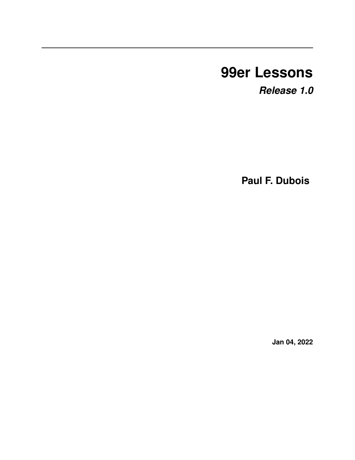# **99er Lessons**

*Release 1.0*

**Paul F. Dubois**

**Jan 04, 2022**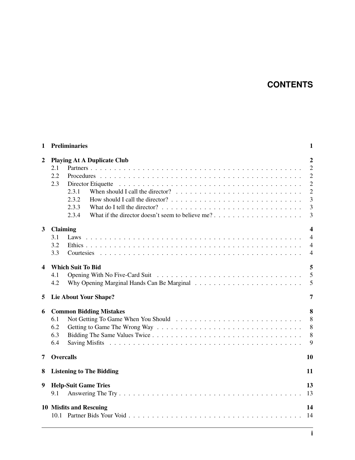### **CONTENTS**

| 1              | <b>Preliminaries</b><br>$\mathbf{1}$                                                                                                                                                             |                                                                                                       |  |  |  |  |
|----------------|--------------------------------------------------------------------------------------------------------------------------------------------------------------------------------------------------|-------------------------------------------------------------------------------------------------------|--|--|--|--|
| $\overline{2}$ | <b>Playing At A Duplicate Club</b><br>2.1<br>2.2<br>2.3<br>When should I call the director? $\ldots \ldots \ldots \ldots \ldots \ldots \ldots \ldots \ldots$<br>2.3.1<br>2.3.2<br>2.3.3<br>2.3.4 | $\overline{2}$<br>$\overline{2}$<br>$\overline{2}$<br>$\overline{2}$<br>$\overline{2}$<br>3<br>3<br>3 |  |  |  |  |
| $\mathbf{3}$   | <b>Claiming</b><br>3.1<br>3.2<br>3.3                                                                                                                                                             | $\overline{\mathbf{4}}$<br>$\overline{4}$<br>$\overline{4}$<br>$\overline{4}$                         |  |  |  |  |
| 4              | <b>Which Suit To Bid</b><br>4.1<br>4.2                                                                                                                                                           | 5<br>5<br>5                                                                                           |  |  |  |  |
| 5              | <b>Lie About Your Shape?</b>                                                                                                                                                                     | 7                                                                                                     |  |  |  |  |
| 6              | <b>Common Bidding Mistakes</b><br>6.1<br>6.2<br>6.3<br>6.4                                                                                                                                       | 8<br>8<br>8<br>8<br>9                                                                                 |  |  |  |  |
| 7              | <b>Overcalls</b>                                                                                                                                                                                 | 10                                                                                                    |  |  |  |  |
| 8              | <b>Listening to The Bidding</b>                                                                                                                                                                  | 11                                                                                                    |  |  |  |  |
| 9              | <b>Help-Suit Game Tries</b><br>9.1                                                                                                                                                               | 13<br>13                                                                                              |  |  |  |  |
|                | 10 Misfits and Rescuing                                                                                                                                                                          | 14<br>14                                                                                              |  |  |  |  |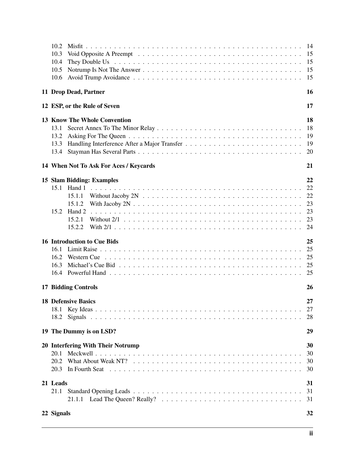| 10.2<br>10.3<br>10.4<br>10.5<br>10.6 |                                                                   | 15<br>15<br>15<br>15        |
|--------------------------------------|-------------------------------------------------------------------|-----------------------------|
|                                      | 11 Drop Dead, Partner                                             | 16                          |
|                                      | 12 ESP, or the Rule of Seven                                      | 17                          |
| 13.1<br>13.2<br>13.3<br>13.4         | <b>13 Know The Whole Convention</b>                               | 18<br>18<br>19<br>-19<br>20 |
|                                      | 14 When Not To Ask For Aces / Keycards                            | 21                          |
| 15.2                                 | 15 Slam Bidding: Examples<br>15.1.1<br>15.1.2<br>15.2.1<br>15.2.2 | 22<br>22<br>23<br>23        |
| 16.2<br>16.3                         | <b>16 Introduction to Cue Bids</b>                                | 25<br>25<br>25<br>25        |
|                                      | <b>17 Bidding Controls</b>                                        | 26                          |
| 18.2                                 | <b>18 Defensive Basics</b>                                        | 27<br>28                    |
|                                      | 19 The Dummy is on LSD?                                           | 29                          |
| 20.1                                 | 20 Interfering With Their Notrump                                 | 30<br>30<br>30<br>30        |
| 21 Leads<br>21.1                     |                                                                   | 31<br>31<br>31              |
| 22 Signals                           |                                                                   | 32                          |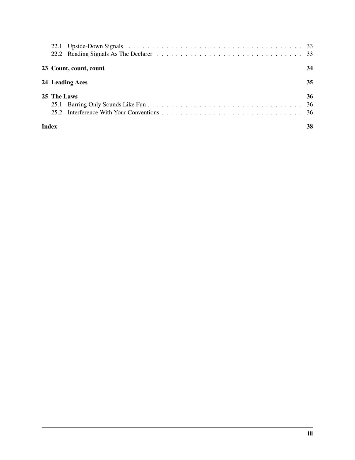| 23 Count, count, count | 34 |
|------------------------|----|
| 24 Leading Aces        | 35 |
| 25 The Laws            | 36 |
| <b>Index</b>           | 38 |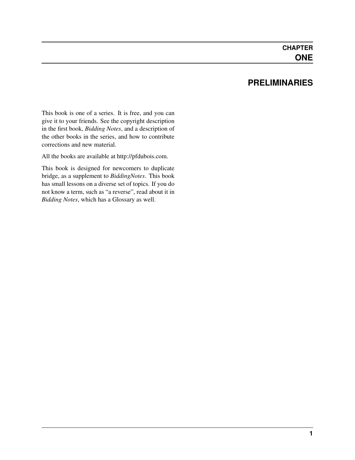#### **PRELIMINARIES**

<span id="page-4-0"></span>This book is one of a series. It is free, and you can give it to your friends. See the copyright description in the first book, *Bidding Notes*, and a description of the other books in the series, and how to contribute corrections and new material.

All the books are available at [http://pfdubois.com.](http://pfdubois.com)

This book is designed for newcomers to duplicate bridge, as a supplement to *BiddingNotes*. This book has small lessons on a diverse set of topics. If you do not know a term, such as "a reverse", read about it in *Bidding Notes*, which has a Glossary as well.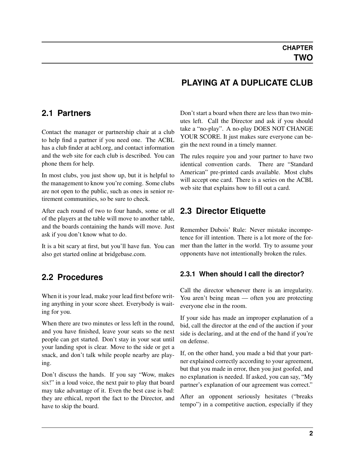#### **PLAYING AT A DUPLICATE CLUB**

#### <span id="page-5-0"></span>**2.1 Partners**

Contact the manager or partnership chair at a club to help find a partner if you need one. The ACBL has a club finder at acbl.org, and contact information and the web site for each club is described. You can phone them for help.

In most clubs, you just show up, but it is helpful to the management to know you're coming. Some clubs are not open to the public, such as ones in senior retirement communities, so be sure to check.

After each round of two to four hands, some or all of the players at the table will move to another table, and the boards containing the hands will move. Just ask if you don't know what to do.

It is a bit scary at first, but you'll have fun. You can also get started online at bridgebase.com.

#### <span id="page-5-1"></span>**2.2 Procedures**

When it is your lead, make your lead first before writing anything in your score sheet. Everybody is waiting for you.

When there are two minutes or less left in the round, and you have finished, leave your seats so the next people can get started. Don't stay in your seat until your landing spot is clear. Move to the side or get a snack, and don't talk while people nearby are playing.

Don't discuss the hands. If you say "Wow, makes six!" in a loud voice, the next pair to play that board may take advantage of it. Even the best case is bad: they are ethical, report the fact to the Director, and have to skip the board.

Don't start a board when there are less than two minutes left. Call the Director and ask if you should take a "no-play". A no-play DOES NOT CHANGE YOUR SCORE. It just makes sure everyone can begin the next round in a timely manner.

The rules require you and your partner to have two identical convention cards. There are "Standard American" pre-printed cards available. Most clubs will accept one card. There is a series on the ACBL web site that explains how to fill out a card.

#### <span id="page-5-2"></span>**2.3 Director Etiquette**

Remember Dubois' Rule: Never mistake incompetence for ill intention. There is a lot more of the former than the latter in the world. Try to assume your opponents have not intentionally broken the rules.

#### <span id="page-5-3"></span>**2.3.1 When should I call the director?**

Call the director whenever there is an irregularity. You aren't being mean — often you are protecting everyone else in the room.

If your side has made an improper explanation of a bid, call the director at the end of the auction if your side is declaring, and at the end of the hand if you're on defense.

If, on the other hand, you made a bid that your partner explained correctly according to your agreement, but that you made in error, then you just goofed, and no explanation is needed. If asked, you can say, "My partner's explanation of our agreement was correct."

After an opponent seriously hesitates ("breaks tempo") in a competitive auction, especially if they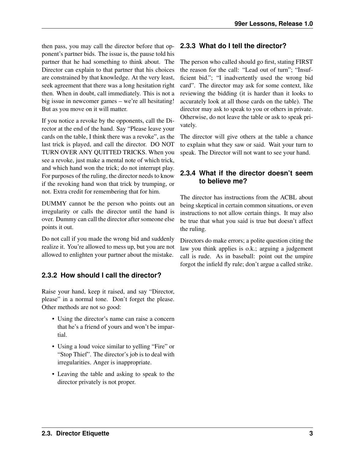then pass, you may call the director before that op-**2.3.3 What do I tell the director?** ponent's partner bids. The issue is, the pause told his partner that he had something to think about. The Director can explain to that partner that his choices are constrained by that knowledge. At the very least, seek agreement that there was a long hesitation right then. When in doubt, call immediately. This is not a big issue in newcomer games – we're all hesitating! But as you move on it will matter.

If you notice a revoke by the opponents, call the Director at the end of the hand. Say "Please leave your cards on the table, I think there was a revoke", as the last trick is played, and call the director. DO NOT TURN OVER ANY QUITTED TRICKS. When you see a revoke, just make a mental note of which trick, and which hand won the trick; do not interrupt play. For purposes of the ruling, the director needs to know if the revoking hand won that trick by trumping, or not. Extra credit for remembering that for him.

DUMMY cannot be the person who points out an irregularity or calls the director until the hand is over. Dummy can call the director after someone else points it out.

Do not call if you made the wrong bid and suddenly realize it. You're allowed to mess up, but you are not allowed to enlighten your partner about the mistake.

#### <span id="page-6-0"></span>**2.3.2 How should I call the director?**

Raise your hand, keep it raised, and say "Director, please" in a normal tone. Don't forget the please. Other methods are not so good:

- Using the director's name can raise a concern that he's a friend of yours and won't be impartial.
- Using a loud voice similar to yelling "Fire" or "Stop Thief". The director's job is to deal with irregularities. Anger is inappropriate.
- Leaving the table and asking to speak to the director privately is not proper.

<span id="page-6-1"></span>The person who called should go first, stating FIRST the reason for the call: "Lead out of turn"; "Insufficient bid."; "I inadvertently used the wrong bid card". The director may ask for some context, like reviewing the bidding (it is harder than it looks to accurately look at all those cards on the table). The director may ask to speak to you or others in private. Otherwise, do not leave the table or ask to speak privately.

The director will give others at the table a chance to explain what they saw or said. Wait your turn to speak. The Director will not want to see your hand.

#### <span id="page-6-2"></span>**2.3.4 What if the director doesn't seem to believe me?**

The director has instructions from the ACBL about being skeptical in certain common situations, or even instructions to not allow certain things. It may also be true that what you said is true but doesn't affect the ruling.

Directors do make errors; a polite question citing the law you think applies is o.k.; arguing a judgement call is rude. As in baseball: point out the umpire forgot the infield fly rule; don't argue a called strike.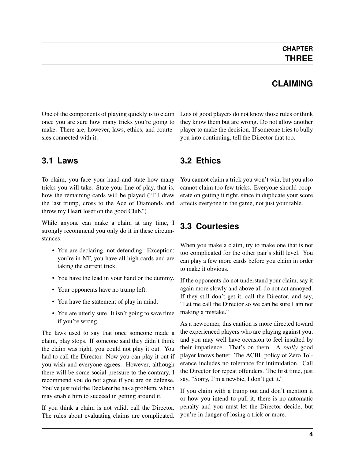#### **CLAIMING**

<span id="page-7-0"></span>One of the components of playing quickly is to claim once you are sure how many tricks you're going to make. There are, however, laws, ethics, and courtesies connected with it.

#### <span id="page-7-1"></span>**3.1 Laws**

To claim, you face your hand and state how many tricks you will take. State your line of play, that is, how the remaining cards will be played ("I'll draw the last trump, cross to the Ace of Diamonds and throw my Heart loser on the good Club.")

While anyone can make a claim at any time, I strongly recommend you only do it in these circumstances:

- You are declaring, not defending. Exception: you're in NT, you have all high cards and are taking the current trick.
- You have the lead in your hand or the dummy.
- Your opponents have no trump left.
- You have the statement of play in mind.
- You are utterly sure. It isn't going to save time if you're wrong.

The laws used to say that once someone made a claim, play stops. If someone said they didn't think the claim was right, you could not play it out. You had to call the Director. Now you can play it out if you wish and everyone agrees. However, although there will be some social pressure to the contrary, I recommend you do not agree if you are on defense. You've just told the Declarer he has a problem, which may enable him to succeed in getting around it.

If you think a claim is not valid, call the Director. The rules about evaluating claims are complicated.

Lots of good players do not know those rules or think they know them but are wrong. Do not allow another player to make the decision. If someone tries to bully you into continuing, tell the Director that too.

#### <span id="page-7-2"></span>**3.2 Ethics**

You cannot claim a trick you won't win, but you also cannot claim too few tricks. Everyone should cooperate on getting it right, since in duplicate your score affects everyone in the game, not just your table.

### <span id="page-7-3"></span>**3.3 Courtesies**

When you make a claim, try to make one that is not too complicated for the other pair's skill level. You can play a few more cards before you claim in order to make it obvious.

If the opponents do not understand your claim, say it again more slowly and above all do not act annoyed. If they still don't get it, call the Director, and say, "Let me call the Director so we can be sure I am not making a mistake."

As a newcomer, this caution is more directed toward the experienced players who are playing against you, and you may well have occasion to feel insulted by their impatience. That's on them. A *really* good player knows better. The ACBL policy of Zero Tolerance includes no tolerance for intimidation. Call the Director for repeat offenders. The first time, just say, "Sorry, I'm a newbie, I don't get it."

If you claim with a trump out and don't mention it or how you intend to pull it, there is no automatic penalty and you must let the Director decide, but you're in danger of losing a trick or more.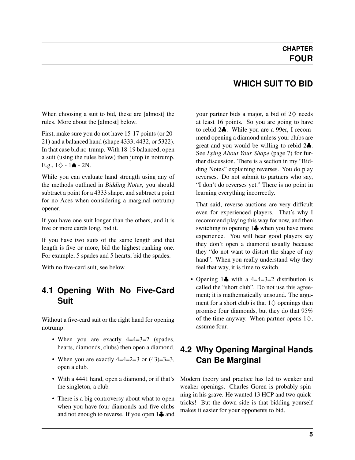#### **WHICH SUIT TO BID**

<span id="page-8-0"></span>When choosing a suit to bid, these are [almost] the rules. More about the [almost] below.

First, make sure you do not have 15-17 points (or 20- 21) and a balanced hand (shape 4333, 4432, or 5322). In that case bid no-trump. With 18-19 balanced, open a suit (using the rules below) then jump in notrump. E.g.,  $1\diamond$  - 1 $\triangle$  - 2N.

While you can evaluate hand strength using any of the methods outlined in *Bidding Notes*, you should subtract a point for a 4333 shape, and subtract a point for no Aces when considering a marginal notrump opener.

If you have one suit longer than the others, and it is five or more cards long, bid it.

If you have two suits of the same length and that length is five or more, bid the highest ranking one. For example, 5 spades and 5 hearts, bid the spades.

With no five-card suit, see below.

#### <span id="page-8-1"></span>**4.1 Opening With No Five-Card Suit**

Without a five-card suit or the right hand for opening notrump:

- When you are exactly 4=4=3=2 (spades, hearts, diamonds, clubs) then open a diamond.
- When you are exactly  $4=4=2=3$  or  $(43)=3=3$ , open a club.
- With a 4441 hand, open a diamond, or if that's the singleton, a club.
- There is a big controversy about what to open when you have four diamonds and five clubs and not enough to reverse. If you open 1♣ and

your partner bids a major, a bid of  $2\diamondsuit$  needs at least 16 points. So you are going to have to rebid 2♣. While you are a 99er, I recommend opening a diamond unless your clubs are great and you would be willing to rebid 2♣. See *[Lying About Your Shape](#page-10-0)* (page 7) for further discussion. There is a section in my "Bidding Notes" explaining reverses. You do play reverses. Do not submit to partners who say, "I don't do reverses yet." There is no point in learning everything incorrectly.

That said, reverse auctions are very difficult even for experienced players. That's why I recommend playing this way for now, and then switching to opening 1♣ when you have more experience. You will hear good players say they don't open a diamond usually because they "do not want to distort the shape of my hand". When you really understand why they feel that way, it is time to switch.

• Opening 1↓ with a 4=4=3=2 distribution is called the "short club". Do not use this agreement; it is mathematically unsound. The argument for a short club is that  $1\diamondsuit$  openings then promise four diamonds, but they do that 95% of the time anyway. When partner opens  $1\diamondsuit$ , assume four.

#### <span id="page-8-2"></span>**4.2 Why Opening Marginal Hands Can Be Marginal**

Modern theory and practice has led to weaker and weaker openings. Charles Goren is probably spinning in his grave. He wanted 13 HCP and two quicktricks! But the down side is that bidding yourself makes it easier for your opponents to bid.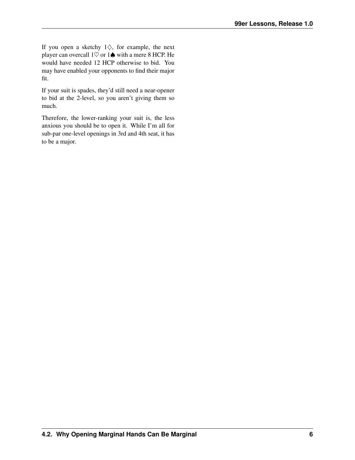If you open a sketchy  $1\diamondsuit$ , for example, the next player can overcall  $1\heartsuit$  or  $1\spadesuit$  with a mere 8 HCP. He would have needed 12 HCP otherwise to bid. You may have enabled your opponents to find their major fit.

If your suit is spades, they'd still need a near-opener to bid at the 2-level, so you aren't giving them so much.

Therefore, the lower-ranking your suit is, the less anxious you should be to open it. While I'm all for sub-par one-level openings in 3rd and 4th seat, it has to be a major.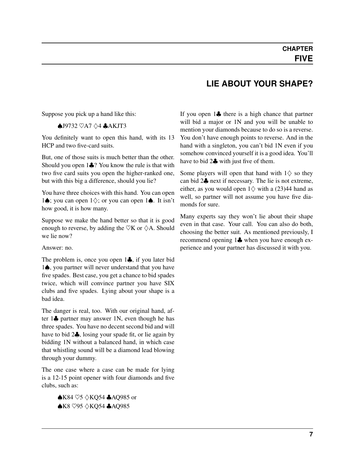#### **LIE ABOUT YOUR SHAPE?**

<span id="page-10-0"></span>Suppose you pick up a hand like this:

#### ♠J9732 ♡A7 ♢4 ♣AKJT3

You definitely want to open this hand, with its 13 HCP and two five-card suits.

But, one of those suits is much better than the other. Should you open 1♣? You know the rule is that with two five card suits you open the higher-ranked one, but with this big a difference, should you lie?

You have three choices with this hand. You can open 1♠; you can open 1♢; or you can open 1♠. It isn't how good, it is how many.

Suppose we make the hand better so that it is good enough to reverse, by adding the  $\heartsuit K$  or  $\Diamond A$ . Should we lie now?

#### Answer: no.

The problem is, once you open 1♣, if you later bid 1♠, you partner will never understand that you have five spades. Best case, you get a chance to bid spades twice, which will convince partner you have SIX clubs and five spades. Lying about your shape is a bad idea.

The danger is real, too. With our original hand, after 1♣ partner may answer 1N, even though he has three spades. You have no decent second bid and will have to bid 2♣, losing your spade fit, or lie again by bidding 1N without a balanced hand, in which case that whistling sound will be a diamond lead blowing through your dummy.

The one case where a case can be made for lying is a 12-15 point opener with four diamonds and five clubs, such as:

> ♠K84 ♡5 ♢KQ54 ♣AQ985 or ♠K8 ♡95 ♢KQ54 ♣AQ985

If you open 1♣ there is a high chance that partner will bid a major or 1N and you will be unable to mention your diamonds because to do so is a reverse. You don't have enough points to reverse. And in the hand with a singleton, you can't bid 1N even if you somehow convinced yourself it is a good idea. You'll have to bid 2♣ with just five of them.

Some players will open that hand with  $1\diamondsuit$  so they can bid 2♣ next if necessary. The lie is not extreme, either, as you would open  $1\diamondsuit$  with a (23)44 hand as well, so partner will not assume you have five diamonds for sure.

Many experts say they won't lie about their shape even in that case. Your call. You can also do both, choosing the better suit. As mentioned previously, I recommend opening 1♣ when you have enough experience and your partner has discussed it with you.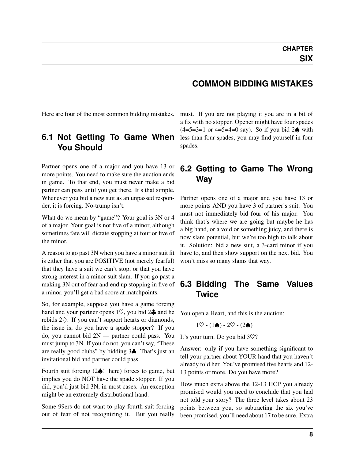#### <span id="page-11-0"></span>Here are four of the most common bidding mistakes.

#### <span id="page-11-1"></span>**6.1 Not Getting To Game When You Should**

Partner opens one of a major and you have 13 or more points. You need to make sure the auction ends in game. To that end, you must never make a bid partner can pass until you get there. It's that simple. Whenever you bid a new suit as an unpassed responder, it is forcing. No-trump isn't.

What do we mean by "game"? Your goal is 3N or 4 of a major. Your goal is not five of a minor, although sometimes fate will dictate stopping at four or five of the minor.

A reason to go past 3N when you have a minor suit fit is either that you are POSITIVE (not merely fearful) that they have a suit we can't stop, or that you have strong interest in a minor suit slam. If you go past a making 3N out of fear and end up stopping in five of a minor, you'll get a bad score at matchpoints.

So, for example, suppose you have a game forcing hand and your partner opens  $1\heartsuit$ , you bid  $2\clubsuit$  and he rebids 2♢. If you can't support hearts or diamonds, the issue is, do you have a spade stopper? If you do, you cannot bid 2N — partner could pass. You must jump to 3N. If you do not, you can't say, "These are really good clubs" by bidding 3♣. That's just an invitational bid and partner could pass.

Fourth suit forcing (2♠! here) forces to game, but implies you do NOT have the spade stopper. If you did, you'd just bid 3N, in most cases. An exception might be an extremely distributional hand.

Some 99ers do not want to play fourth suit forcing out of fear of not recognizing it. But you really

# **COMMON BIDDING MISTAKES**

must. If you are not playing it you are in a bit of a fix with no stopper. Opener might have four spades  $(4=5=3=1$  or 4=5=4=0 say). So if you bid 2♠ with less than four spades, you may find yourself in four spades.

#### <span id="page-11-2"></span>**6.2 Getting to Game The Wrong Way**

Partner opens one of a major and you have 13 or more points AND you have 3 of partner's suit. You must not immediately bid four of his major. You think that's where we are going but maybe he has a big hand, or a void or something juicy, and there is now slam potential, but we're too high to talk about it. Solution: bid a new suit, a 3-card minor if you have to, and then show support on the next bid. You won't miss so many slams that way.

#### <span id="page-11-3"></span>**6.3 Bidding The Same Values Twice**

You open a Heart, and this is the auction:

$$
1\heartsuit - (1\spadesuit) - 2\heartsuit - (2\spadesuit)
$$

It's your turn. Do you bid 3♡?

Answer: only if you have something significant to tell your partner about YOUR hand that you haven't already told her. You've promised five hearts and 12- 13 points or more. Do you have more?

How much extra above the 12-13 HCP you already promised would you need to conclude that you had not told your story? The three level takes about 23 points between you, so subtracting the six you've been promised, you'll need about 17 to be sure. Extra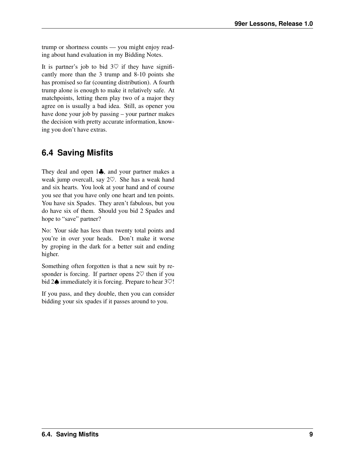trump or shortness counts — you might enjoy reading about hand evaluation in my Bidding Notes.

It is partner's job to bid  $3\heartsuit$  if they have significantly more than the 3 trump and 8-10 points she has promised so far (counting distribution). A fourth trump alone is enough to make it relatively safe. At matchpoints, letting them play two of a major they agree on is usually a bad idea. Still, as opener you have done your job by passing – your partner makes the decision with pretty accurate information, knowing you don't have extras.

### <span id="page-12-0"></span>**6.4 Saving Misfits**

They deal and open 1♣, and your partner makes a weak jump overcall, say 2♡. She has a weak hand and six hearts. You look at your hand and of course you see that you have only one heart and ten points. You have six Spades. They aren't fabulous, but you do have six of them. Should you bid 2 Spades and hope to "save" partner?

No: Your side has less than twenty total points and you're in over your heads. Don't make it worse by groping in the dark for a better suit and ending higher.

Something often forgotten is that a new suit by responder is forcing. If partner opens  $2\heartsuit$  then if you bid 2 $\spadesuit$  immediately it is forcing. Prepare to hear 3 $\heartsuit$ !

If you pass, and they double, then you can consider bidding your six spades if it passes around to you.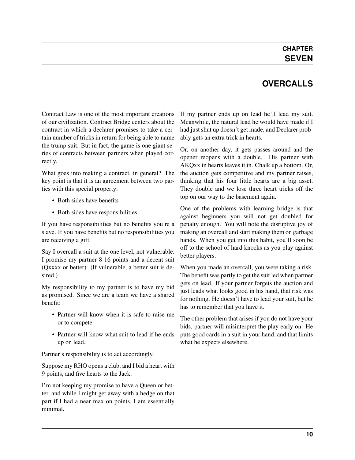#### **CHAPTER SEVEN**

### **OVERCALLS**

<span id="page-13-0"></span>Contract Law is one of the most important creations of our civilization. Contract Bridge centers about the contract in which a declarer promises to take a certain number of tricks in return for being able to name the trump suit. But in fact, the game is one giant series of contracts between partners when played correctly.

What goes into making a contract, in general? The key point is that it is an agreement between two parties with this special property:

- Both sides have benefits
- Both sides have responsibilities

If you have responsibilities but no benefits you're a slave. If you have benefits but no responsibilities you are receiving a gift.

Say I overcall a suit at the one level, not vulnerable. I promise my partner 8-16 points and a decent suit (Qxxxx or better). (If vulnerable, a better suit is desired.)

My responsibility to my partner is to have my bid as promised. Since we are a team we have a shared benefit:

- Partner will know when it is safe to raise me or to compete.
- Partner will know what suit to lead if he ends up on lead.

Partner's responsibility is to act accordingly.

Suppose my RHO opens a club, and I bid a heart with 9 points, and five hearts to the Jack.

I'm not keeping my promise to have a Queen or better, and while I might get away with a hedge on that part if I had a near max on points, I am essentially minimal.

If my partner ends up on lead he'll lead my suit. Meanwhile, the natural lead he would have made if I had just shut up doesn't get made, and Declarer probably gets an extra trick in hearts.

Or, on another day, it gets passes around and the opener reopens with a double. His partner with AKQxx in hearts leaves it in. Chalk up a bottom. Or, the auction gets competitive and my partner raises, thinking that his four little hearts are a big asset. They double and we lose three heart tricks off the top on our way to the basement again.

One of the problems with learning bridge is that against beginners you will not get doubled for penalty enough. You will note the disruptive joy of making an overcall and start making them on garbage hands. When you get into this habit, you'll soon be off to the school of hard knocks as you play against better players.

When you made an overcall, you were taking a risk. The benefit was partly to get the suit led when partner gets on lead. If your partner forgets the auction and just leads what looks good in his hand, that risk was for nothing. He doesn't have to lead your suit, but he has to remember that you have it.

The other problem that arises if you do not have your bids, partner will misinterpret the play early on. He puts good cards in a suit in your hand, and that limits what he expects elsewhere.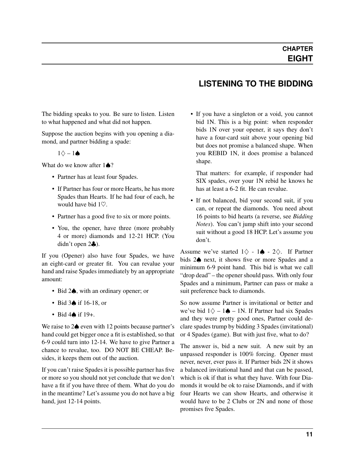<span id="page-14-0"></span>The bidding speaks to you. Be sure to listen. Listen to what happened and what did not happen.

Suppose the auction begins with you opening a diamond, and partner bidding a spade:

 $1\diamond - 1\spadesuit$ 

What do we know after  $1\spadesuit$ ?

- Partner has at least four Spades.
- If Partner has four or more Hearts, he has more Spades than Hearts. If he had four of each, he would have bid 1♡.
- Partner has a good five to six or more points.
- You, the opener, have three (more probably 4 or more) diamonds and 12-21 HCP. (You didn't open 2♣).

If you (Opener) also have four Spades, we have an eight-card or greater fit. You can revalue your hand and raise Spades immediately by an appropriate amount:

- Bid 2♠, with an ordinary opener; or
- Bid 3♠ if 16-18, or
- Bid 4♠ if 19+.

We raise to 2♠ even with 12 points because partner's hand could get bigger once a fit is established, so that 6-9 could turn into 12-14. We have to give Partner a chance to revalue, too. DO NOT BE CHEAP. Besides, it keeps them out of the auction.

If you can't raise Spades it is possible partner has five or more so you should not yet conclude that we don't have a fit if you have three of them. What do you do in the meantime? Let's assume you do not have a big hand, just 12-14 points.

- **LISTENING TO THE BIDDING**
- If you have a singleton or a void, you cannot bid 1N. This is a big point: when responder bids 1N over your opener, it says they don't have a four-card suit above your opening bid but does not promise a balanced shape. When you REBID 1N, it does promise a balanced shape.

That matters: for example, if responder had SIX spades, over your 1N rebid he knows he has at least a 6-2 fit. He can revalue.

• If not balanced, bid your second suit, if you can, or repeat the diamonds. You need about 16 points to bid hearts (a reverse, see *Bidding Notes*). You can't jump shift into your second suit without a good 18 HCP. Let's assume you don't.

Assume we've started  $1\diamondsuit - 1\spadesuit - 2\diamondsuit$ . If Partner bids 2♠ next, it shows five or more Spades and a minimum 6-9 point hand. This bid is what we call "drop dead" – the opener should pass. With only four Spades and a minimum, Partner can pass or make a suit preference back to diamonds.

So now assume Partner is invitational or better and we've bid  $1\diamondsuit - 1\spadesuit - 1N$ . If Partner had six Spades and they were pretty good ones, Partner could declare spades trump by bidding 3 Spades (invitational) or 4 Spades (game). But with just five, what to do?

The answer is, bid a new suit. A new suit by an unpassed responder is 100% forcing. Opener must never, never, ever pass it. If Partner bids 2N it shows a balanced invitational hand and that can be passed, which is ok if that is what they have. With four Diamonds it would be ok to raise Diamonds, and if with four Hearts we can show Hearts, and otherwise it would have to be 2 Clubs or 2N and none of those promises five Spades.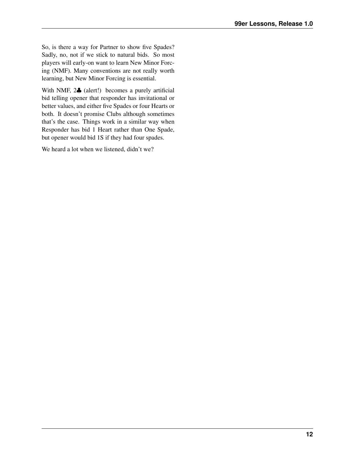So, is there a way for Partner to show five Spades? Sadly, no, not if we stick to natural bids. So most players will early-on want to learn New Minor Forcing (NMF). Many conventions are not really worth learning, but New Minor Forcing is essential.

With NMF,  $2\clubsuit$  (alert!) becomes a purely artificial bid telling opener that responder has invitational or better values, and either five Spades or four Hearts or both. It doesn't promise Clubs although sometimes that's the case. Things work in a similar way when Responder has bid 1 Heart rather than One Spade, but opener would bid 1S if they had four spades.

<span id="page-15-0"></span>We heard a lot when we listened, didn't we?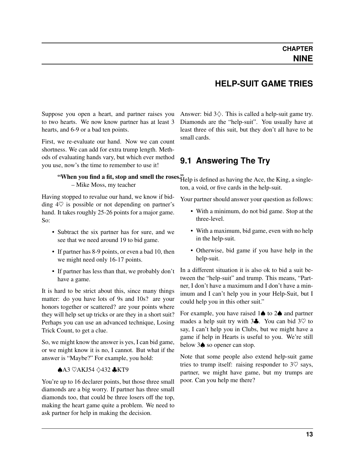#### **HELP-SUIT GAME TRIES**

<span id="page-16-0"></span>Suppose you open a heart, and partner raises you to two hearts. We now know partner has at least 3 hearts, and 6-9 or a bad ten points.

First, we re-evaluate our hand. Now we can count shortness. We can add for extra trump length. Methods of evaluating hands vary, but which ever method you use, now's the time to remember to use it!

#### "When you find a fit, stop and smell the roses" Help is defined as having the Ace, the King, a single-– Mike Moss, my teacher

Having stopped to revalue our hand, we know if bidding  $4\heartsuit$  is possible or not depending on partner's hand. It takes roughly 25-26 points for a major game. So:

- Subtract the six partner has for sure, and we see that we need around 19 to bid game.
- If partner has 8-9 points, or even a bad 10, then we might need only 16-17 points.
- If partner has less than that, we probably don't have a game.

It is hard to be strict about this, since many things matter: do you have lots of 9s and 10s? are your honors together or scattered? are your points where they will help set up tricks or are they in a short suit? Perhaps you can use an advanced technique, Losing Trick Count, to get a clue.

So, we might know the answer is yes, I can bid game, or we might know it is no, I cannot. But what if the answer is "Maybe?" For example, you hold:

#### ♠A3 ♡AKJ54 ♢432 ♣KT9

You're up to 16 declarer points, but those three small diamonds are a big worry. If partner has three small diamonds too, that could be three losers off the top, making the heart game quite a problem. We need to ask partner for help in making the decision.

Answer: bid  $3\diamondsuit$ . This is called a help-suit game try. Diamonds are the "help-suit". You usually have at least three of this suit, but they don't all have to be small cards.

#### <span id="page-16-1"></span>**9.1 Answering The Try**

ton, a void, or five cards in the help-suit.

Your partner should answer your question as follows:

- With a minimum, do not bid game. Stop at the three-level.
- With a maximum, bid game, even with no help in the help-suit.
- Otherwise, bid game if you have help in the help-suit.

In a different situation it is also ok to bid a suit between the "help-suit" and trump. This means, "Partner, I don't have a maximum and I don't have a minimum and I can't help you in your Help-Suit, but I could help you in this other suit."

For example, you have raised 1♠ to 2♠ and partner mades a help suit try with  $3\clubsuit$ . You can bid  $3\heartsuit$  to say, I can't help you in Clubs, but we might have a game if help in Hearts is useful to you. We're still below 3♠ so opener can stop.

Note that some people also extend help-suit game tries to trump itself: raising responder to  $3\heartsuit$  says, partner, we might have game, but my trumps are poor. Can you help me there?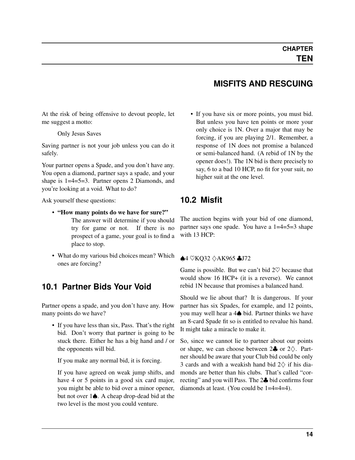<span id="page-17-0"></span>At the risk of being offensive to devout people, let me suggest a motto:

#### Only Jesus Saves

Saving partner is not your job unless you can do it safely.

Your partner opens a Spade, and you don't have any. You open a diamond, partner says a spade, and your shape is 1=4=5=3. Partner opens 2 Diamonds, and you're looking at a void. What to do?

Ask yourself these questions:

- "How many points do we have for sure?"
	- The answer will determine if you should try for game or not. If there is no prospect of a game, your goal is to find a place to stop.
- What do my various bid choices mean? Which ones are forcing?

#### <span id="page-17-1"></span>**10.1 Partner Bids Your Void**

Partner opens a spade, and you don't have any. How many points do we have?

• If you have less than six, Pass. That's the right bid. Don't worry that partner is going to be stuck there. Either he has a big hand and / or the opponents will bid.

If you make any normal bid, it is forcing.

If you have agreed on weak jump shifts, and have 4 or 5 points in a good six card major, you might be able to bid over a minor opener, but not over 1♠. A cheap drop-dead bid at the two level is the most you could venture.

#### **MISFITS AND RESCUING**

• If you have six or more points, you must bid. But unless you have ten points or more your only choice is 1N. Over a major that may be forcing, if you are playing 2/1. Remember, a response of 1N does not promise a balanced or semi-balanced hand. (A rebid of 1N by the opener does!). The 1N bid is there precisely to say, 6 to a bad 10 HCP, no fit for your suit, no higher suit at the one level.

#### <span id="page-17-2"></span>**10.2 Misfit**

The auction begins with your bid of one diamond, partner says one spade. You have a 1=4=5=3 shape with 13 HCP:

#### ♠4 ♡KQ32 ♢AK965 ♣J72

Game is possible. But we can't bid  $2\heartsuit$  because that would show 16 HCP+ (it is a reverse). We cannot rebid 1N because that promises a balanced hand.

Should we lie about that? It is dangerous. If your partner has six Spades, for example, and 12 points, you may well hear a 4♠ bid. Partner thinks we have an 8-card Spade fit so is entitled to revalue his hand. It might take a miracle to make it.

So, since we cannot lie to partner about our points or shape, we can choose between  $2\clubsuit$  or  $2\diamondsuit$ . Partner should be aware that your Club bid could be only 3 cards and with a weakish hand bid  $2\diamondsuit$  if his diamonds are better than his clubs. That's called "correcting" and you will Pass. The 2♣ bid confirms four diamonds at least. (You could be 1=4=4=4).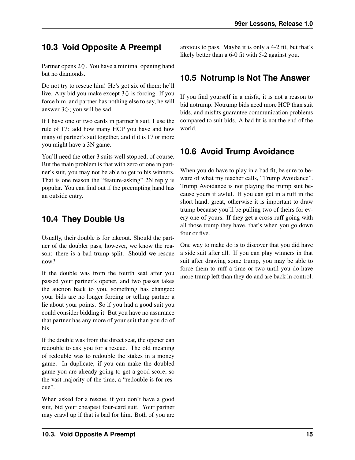### <span id="page-18-0"></span>**10.3 Void Opposite A Preempt**

Partner opens 2♢. You have a minimal opening hand but no diamonds.

Do not try to rescue him! He's got six of them; he'll live. Any bid you make except  $3\diamondsuit$  is forcing. If you force him, and partner has nothing else to say, he will answer 3♢; you will be sad.

If I have one or two cards in partner's suit, I use the rule of 17: add how many HCP you have and how many of partner's suit together, and if it is 17 or more you might have a 3N game.

You'll need the other 3 suits well stopped, of course. But the main problem is that with zero or one in partner's suit, you may not be able to get to his winners. That is one reason the "feature-asking" 2N reply is popular. You can find out if the preempting hand has an outside entry.

### <span id="page-18-1"></span>**10.4 They Double Us**

Usually, their double is for takeout. Should the partner of the doubler pass, however, we know the reason: there is a bad trump split. Should we rescue now?

If the double was from the fourth seat after you passed your partner's opener, and two passes takes the auction back to you, something has changed: your bids are no longer forcing or telling partner a lie about your points. So if you had a good suit you could consider bidding it. But you have no assurance that partner has any more of your suit than you do of his.

If the double was from the direct seat, the opener can redouble to ask you for a rescue. The old meaning of redouble was to redouble the stakes in a money game. In duplicate, if you can make the doubled game you are already going to get a good score, so the vast majority of the time, a "redouble is for rescue".

When asked for a rescue, if you don't have a good suit, bid your cheapest four-card suit. Your partner may crawl up if that is bad for him. Both of you are anxious to pass. Maybe it is only a 4-2 fit, but that's likely better than a 6-0 fit with 5-2 against you.

### <span id="page-18-2"></span>**10.5 Notrump Is Not The Answer**

If you find yourself in a misfit, it is not a reason to bid notrump. Notrump bids need more HCP than suit bids, and misfits guarantee communication problems compared to suit bids. A bad fit is not the end of the world.

### <span id="page-18-3"></span>**10.6 Avoid Trump Avoidance**

When you do have to play in a bad fit, be sure to beware of what my teacher calls, "Trump Avoidance". Trump Avoidance is not playing the trump suit because yours if awful. If you can get in a ruff in the short hand, great, otherwise it is important to draw trump because you'll be pulling two of theirs for every one of yours. If they get a cross-ruff going with all those trump they have, that's when you go down four or five.

One way to make do is to discover that you did have a side suit after all. If you can play winners in that suit after drawing some trump, you may be able to force them to ruff a time or two until you do have more trump left than they do and are back in control.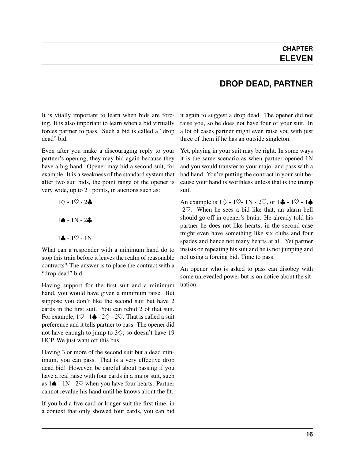<span id="page-19-0"></span>It is vitally important to learn when bids are forcing. It is also important to learn when a bid virtually forces partner to pass. Such a bid is called a "drop dead" bid.

Even after you make a discouraging reply to your partner's opening, they may bid again because they have a big hand. Opener may bid a second suit, for example. It is a weakness of the standard system that after two suit bids, the point range of the opener is very wide, up to 21 points, in auctions such as:

> $1$  $\diamond$  -  $1$  $\heartsuit$  -  $2$ ♣ 1♠ - 1N - 2♣  $1 - 10 - 1N$

What can a responder with a minimum hand do to stop this train before it leaves the realm of reasonable contracts? The answer is to place the contract with a "drop dead" bid.

Having support for the first suit and a minimum hand, you would have given a minimum raise. But suppose you don't like the second suit but have 2 cards in the first suit. You can rebid 2 of that suit. For example,  $1\heartsuit - 1\spadesuit - 2\heartsuit - 2\heartsuit$ . That is called a suit preference and it tells partner to pass. The opener did not have enough to jump to  $3\diamondsuit$ , so doesn't have 19 HCP. We just want off this bus.

Having 3 or more of the second suit but a dead minimum, you can pass. That is a very effective drop dead bid! However, be careful about passing if you have a real raise with four cards in a major suit, such as  $1\spadesuit$  - 1N - 2 $\heartsuit$  when you have four hearts. Partner cannot revalue his hand until he knows about the fit.

If you bid a five-card or longer suit the first time, in a context that only showed four cards, you can bid

### **DROP DEAD, PARTNER**

it again to suggest a drop dead. The opener did not raise you, so he does not have four of your suit. In a lot of cases partner might even raise you with just three of them if he has an outside singleton.

Yet, playing in your suit may be right. In some ways it is the same scenario as when partner opened 1N and you would transfer to your major and pass with a bad hand. You're putting the contract in your suit because your hand is worthless unless that is the trump suit.

An example is  $1\diamondsuit - 1\nabla - 1N - 2\nabla$ , or  $1\clubsuit - 1\nabla - 1\spadesuit$ -2♡. When he sees a bid like that, an alarm bell should go off in opener's brain. He already told his partner he does not like hearts; in the second case might even have something like six clubs and four spades and hence not many hearts at all. Yet partner insists on repeating his suit and he is not jumping and not using a forcing bid. Time to pass.

An opener who is asked to pass can disobey with some unrevealed power but is on notice about the situation.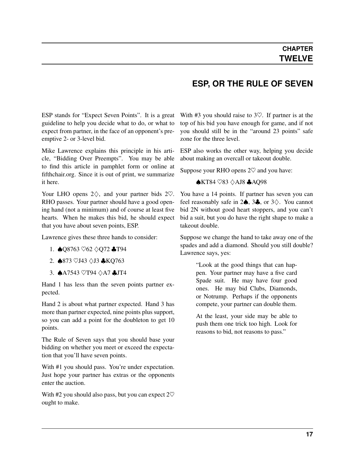#### **ESP, OR THE RULE OF SEVEN**

<span id="page-20-0"></span>ESP stands for "Expect Seven Points". It is a great guideline to help you decide what to do, or what to expect from partner, in the face of an opponent's preemptive 2- or 3-level bid.

Mike Lawrence explains this principle in his article, "Bidding Over Preempts". You may be able to find this article in pamphlet form or online at fifthchair.org. Since it is out of print, we summarize it here.

Your LHO opens  $2\diamondsuit$ , and your partner bids  $2\heartsuit$ . RHO passes. Your partner should have a good opening hand (not a minimum) and of course at least five hearts. When he makes this bid, he should expect that you have about seven points, ESP.

Lawrence gives these three hands to consider:

- 1. ♠Q8763 ♡62 ♢Q72 ♣T94
- 2. ♠873 ♡J43 ♢J3 ♣KQ763
- 3. ♠A7543 ♡T94 ♢A7 ♣JT4

Hand 1 has less than the seven points partner expected.

Hand 2 is about what partner expected. Hand 3 has more than partner expected, nine points plus support, so you can add a point for the doubleton to get 10 points.

The Rule of Seven says that you should base your bidding on whether you meet or exceed the expectation that you'll have seven points.

With #1 you should pass. You're under expectation. Just hope your partner has extras or the opponents enter the auction.

With #2 you should also pass, but you can expect  $2\heartsuit$ ought to make.

With #3 you should raise to  $3\degree$ . If partner is at the top of his bid you have enough for game, and if not you should still be in the "around 23 points" safe zone for the three level.

ESP also works the other way, helping you decide about making an overcall or takeout double.

Suppose your RHO opens  $2\heartsuit$  and you have:

#### ♠KT84 ♡83 ♢AJ8 ♣AQ98

You have a 14 points. If partner has seven you can feel reasonably safe in  $2\spadesuit$ ,  $3\clubsuit$ , or  $3\diamondsuit$ . You cannot bid 2N without good heart stoppers, and you can't bid a suit, but you do have the right shape to make a takeout double.

Suppose we change the hand to take away one of the spades and add a diamond. Should you still double? Lawrence says, yes:

> "Look at the good things that can happen. Your partner may have a five card Spade suit. He may have four good ones. He may bid Clubs, Diamonds, or Notrump. Perhaps if the opponents compete, your partner can double them.

> At the least, your side may be able to push them one trick too high. Look for reasons to bid, not reasons to pass."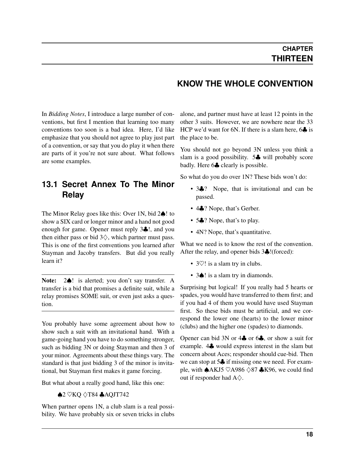#### **KNOW THE WHOLE CONVENTION**

<span id="page-21-0"></span>In *Bidding Notes*, I introduce a large number of conventions, but first I mention that learning too many conventions too soon is a bad idea. Here, I'd like emphasize that you should not agree to play just part of a convention, or say that you do play it when there are parts of it you're not sure about. What follows are some examples.

#### <span id="page-21-1"></span>**13.1 Secret Annex To The Minor Relay**

The Minor Relay goes like this: Over 1N, bid 2♠! to show a SIX card or longer minor and a hand not good enough for game. Opener must reply 3♣!, and you then either pass or bid  $3\diamondsuit$ , which partner must pass. This is one of the first conventions you learned after Stayman and Jacoby transfers. But did you really learn it?

Note: 2♠! is alerted; you don't say transfer. A transfer is a bid that promises a definite suit, while a relay promises SOME suit, or even just asks a question.

You probably have some agreement about how to show such a suit with an invitational hand. With a game-going hand you have to do something stronger, such as bidding 3N or doing Stayman and then 3 of your minor. Agreements about these things vary. The standard is that just bidding 3 of the minor is invitational, but Stayman first makes it game forcing.

But what about a really good hand, like this one:

 $\bigtriangleup$ 2  $\heartsuit$ KQ  $\Diamond$ T84  $\bigtriangleup$ AQJT742

When partner opens 1N, a club slam is a real possibility. We have probably six or seven tricks in clubs alone, and partner must have at least 12 points in the other 3 suits. However, we are nowhere near the 33 HCP we'd want for 6N. If there is a slam here, 6 $\clubsuit$  is the place to be.

You should not go beyond 3N unless you think a slam is a good possibility. 5♣ will probably score badly. Here 6♣ clearly is possible.

So what do you do over 1N? These bids won't do:

- 3.<sup>9</sup>? Nope, that is invitational and can be passed.
- 4.<sup>9</sup>? Nope, that's Gerber.
- 5.<sup>9</sup>. Nope, that's to play.
- 4N? Nope, that's quantitative.

What we need is to know the rest of the convention. After the relay, and opener bids 3♣!(forced):

- 3 $\heartsuit$ ! is a slam try in clubs.
- 3 $\spadesuit$ ! is a slam try in diamonds.

Surprising but logical! If you really had 5 hearts or spades, you would have transferred to them first; and if you had 4 of them you would have used Stayman first. So these bids must be artificial, and we correspond the lower one (hearts) to the lower minor (clubs) and the higher one (spades) to diamonds.

Opener can bid 3N or 4♣ or 6♣, or show a suit for example. 4♣ would express interest in the slam but concern about Aces; responder should cue-bid. Then we can stop at 5♣ if missing one we need. For example, with  $\triangle$ AKJ5  $\heartsuit$ A986  $\diamondsuit$ 87  $\clubsuit$ K96, we could find out if responder had  $A\diamondsuit$ .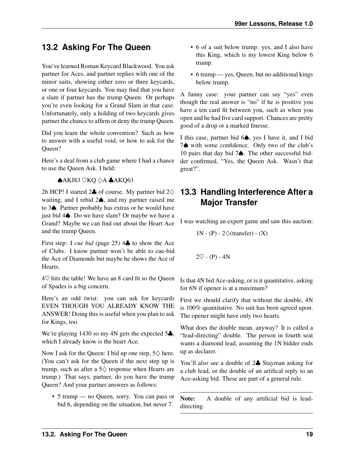#### <span id="page-22-0"></span>**13.2 Asking For The Queen**

You've learned Roman Keycard Blackwood. You ask partner for Aces, and partner replies with one of the minor suits, showing either zero or three keycards, or one or four keycards. You may find that you have a slam if partner has the trump Queen. Or perhaps you're even looking for a Grand Slam in that case. Unfortunately, only a holding of two keycards gives partner the chance to affirm or deny the trump Queen.

Did you learn the whole convention? Such as how to answer with a useful void, or how to ask for the Queen?

Here's a deal from a club game where I had a chance to use the Queen Ask. I held:

#### ♠AKJ83 ♡KQ ♢A ♣AKQ63

26 HCP! I started 2♣ of course. My partner bid  $2\diamondsuit$ waiting, and I rebid 2♠, and my partner raised me to 3♠. Partner probably has extras or he would have just bid 4♠. Do we have slam? Or maybe we have a Grand? Maybe we can find out about the Heart Ace and the trump Queen.

First step: I *[cue bid](#page-28-5)* (page 25) 4♣ to show the Ace of Clubs. I know partner won't be able to cue-bid the Ace of Diamonds but maybe he shows the Ace of Hearts.

 $4\heartsuit$  hits the table! We have an 8 card fit so the Queen of Spades is a big concern.

Here's an odd twist: you can ask for keycards EVEN THOUGH YOU ALREADY KNOW THE ANSWER! Doing this is useful when you plan to ask for Kings, too.

We're playing 1430 so my 4N gets the expected 5♣, which I already know is the heart Ace.

Now I ask for the Queen: I bid up one step,  $5\diamondsuit$  here. (You can't ask for the Queen if the next step up is trump, such as after a  $5\diamondsuit$  response when Hearts are trump.) That says, partner, do you have the trump Queen? And your partner answers as follows:

• 5 trump — no Queen, sorry. You can pass or bid 6, depending on the situation, but never 7.

- 6 of a suit below trump: yes, and I also have this King, which is my lowest King below 6 trump.
- 6 trump yes, Queen, but no additional kings below trump.

A funny case: your partner can say "yes" even though the real answer is "no" if he is positive you have a ten card fit between you, such as when you open and he had five card support. Chances are pretty good of a drop or a marked finesse.

I this case, partner bid 6♠, yes I have it, and I bid 7♠ with some confidence. Only two of the club's 10 pairs that day bid 7♠. The other successful bidder confirmed, "Yes, the Queen Ask. Wasn't that great?".

#### <span id="page-22-1"></span>**13.3 Handling Interference After a Major Transfer**

I was watching an expert game and saw this auction:

1N - (P) -  $2\diamondsuit$ (transfer) - (X)

 $2\heartsuit$  - (P) - 4N

Is that 4N bid Ace-asking, or is it quantitative, asking for 6N if opener is at a maximum?

First we should clarify that without the double, 4N is 100% quantitative. No suit has been agreed upon. The opener might have only two hearts.

What does the double mean, anyway? It is called a "lead-directing" double. The person in fourth seat wants a diamond lead, assuming the 1N bidder ends up as declarer.

You'll also see a double of 2♣ Stayman asking for a club lead, or the double of an artifical reply to an Ace-asking bid. These are part of a general rule.

Note: A double of any artificial bid is leaddirecting.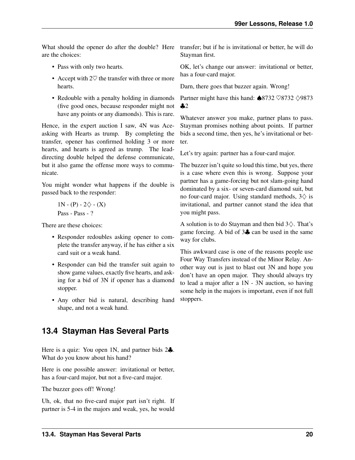are the choices:

- Pass with only two hearts.
- Accept with  $2\heartsuit$  the transfer with three or more hearts.
- Redouble with a penalty holding in diamonds (five good ones, because responder might not have any points or any diamonds). This is rare.

Hence, in the expert auction I saw, 4N was Aceasking with Hearts as trump. By completing the transfer, opener has confirmed holding 3 or more hearts, and hearts is agreed as trump. The leaddirecting double helped the defense communicate, but it also game the offense more ways to communicate.

You might wonder what happens if the double is passed back to the responder:

> $1N - (P) - 2\diamondsuit - (X)$ Pass - Pass - ?

There are these choices:

- Responder redoubles asking opener to complete the transfer anyway, if he has either a six card suit or a weak hand.
- Responder can bid the transfer suit again to show game values, exactly five hearts, and asking for a bid of 3N if opener has a diamond stopper.
- Any other bid is natural, describing hand shape, and not a weak hand.

#### <span id="page-23-0"></span>**13.4 Stayman Has Several Parts**

Here is a quiz: You open 1N, and partner bids 2♣. What do you know about his hand?

Here is one possible answer: invitational or better, has a four-card major, but not a five-card major.

The buzzer goes off! Wrong!

Uh, ok, that no five-card major part isn't right. If partner is 5-4 in the majors and weak, yes, he would

What should the opener do after the double? Here transfer; but if he is invitational or better, he will do Stayman first.

> OK, let's change our answer: invitational or better, has a four-card major.

Darn, there goes that buzzer again. Wrong!

Partner might have this hand: ♠8732 ♡8732 ♢9873  $\clubsuit$ 

Whatever answer you make, partner plans to pass. Stayman promises nothing about points. If partner bids a second time, then yes, he's invitational or better.

Let's try again: partner has a four-card major.

The buzzer isn't quite so loud this time, but yes, there is a case where even this is wrong. Suppose your partner has a game-forcing but not slam-going hand dominated by a six- or seven-card diamond suit, but no four-card major. Using standard methods,  $3\diamondsuit$  is invitational, and partner cannot stand the idea that you might pass.

A solution is to do Stayman and then bid 3♢. That's game forcing. A bid of 3♣ can be used in the same way for clubs.

This awkward case is one of the reasons people use Four Way Transfers instead of the Minor Relay. Another way out is just to blast out 3N and hope you don't have an open major. They should always try to lead a major after a 1N - 3N auction, so having some help in the majors is important, even if not full stoppers.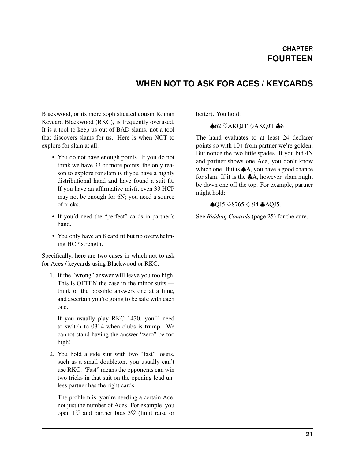#### **WHEN NOT TO ASK FOR ACES / KEYCARDS**

<span id="page-24-0"></span>Blackwood, or its more sophisticated cousin Roman Keycard Blackwood (RKC), is frequently overused. It is a tool to keep us out of BAD slams, not a tool that discovers slams for us. Here is when NOT to explore for slam at all:

- You do not have enough points. If you do not think we have 33 or more points, the only reason to explore for slam is if you have a highly distributional hand and have found a suit fit. If you have an affirmative misfit even 33 HCP may not be enough for 6N; you need a source of tricks.
- If you'd need the "perfect" cards in partner's hand.
- You only have an 8 card fit but no overwhelming HCP strength.

Specifically, here are two cases in which not to ask for Aces / keycards using Blackwood or RKC:

1. If the "wrong" answer will leave you too high. This is OFTEN the case in the minor suits think of the possible answers one at a time, and ascertain you're going to be safe with each one.

If you usually play RKC 1430, you'll need to switch to 0314 when clubs is trump. We cannot stand having the answer "zero" be too high!

2. You hold a side suit with two "fast" losers, such as a small doubleton, you usually can't use RKC. "Fast" means the opponents can win two tricks in that suit on the opening lead unless partner has the right cards.

The problem is, you're needing a certain Ace, not just the number of Aces. For example, you open  $1\heartsuit$  and partner bids  $3\heartsuit$  (limit raise or better). You hold:

♠62 ♡AKQJT ♢AKQJT ♣8

The hand evaluates to at least 24 declarer points so with 10+ from partner we're golden. But notice the two little spades. If you bid 4N and partner shows one Ace, you don't know which one. If it is **◆A**, you have a good chance for slam. If it is the  $\clubsuit$ A, however, slam might be down one off the top. For example, partner might hold:

#### $\bigcirc$ QJ5  $\heartsuit$ 8765  $\diamondsuit$  94  $\bigcirc$ AQJ5.

See *[Bidding Controls](#page-28-5)* (page 25) for the cure.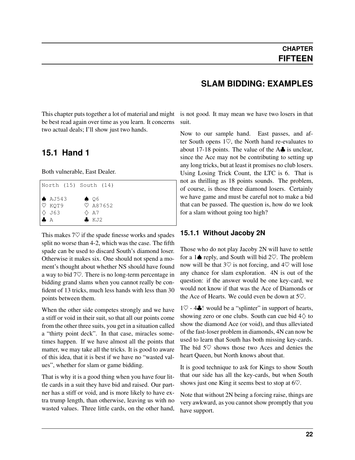<span id="page-25-0"></span>This chapter puts together a lot of material and might be best read again over time as you learn. It concerns two actual deals; I'll show just two hands.

#### <span id="page-25-1"></span>**15.1 Hand 1**

Both vulnerable, East Dealer.

| North (15) South (14)                                                       |  |                                      |                     |  |  |  |  |
|-----------------------------------------------------------------------------|--|--------------------------------------|---------------------|--|--|--|--|
| $\bullet$ AJ543<br>$\heartsuit$ KOT9<br>$\Diamond$ J63<br>$\bullet$ $\land$ |  | $\bullet$ 06<br>$\Diamond$ A7<br>KJ2 | $\heartsuit$ A87652 |  |  |  |  |

This makes  $7\heartsuit$  if the spade finesse works and spades split no worse than 4-2, which was the case. The fifth spade can be used to discard South's diamond loser. Otherwise it makes six. One should not spend a moment's thought about whether NS should have found a way to bid 7♡. There is no long-term percentage in bidding grand slams when you cannot really be confident of 13 tricks, much less hands with less than 30 points between them.

When the other side competes strongly and we have a stiff or void in their suit, so that all our points come from the other three suits, you get in a situation called a "thirty point deck". In that case, miracles sometimes happen. If we have almost all the points that matter, we may take all the tricks. It is good to aware of this idea, that it is best if we have no "wasted values", whether for slam or game bidding.

That is why it is a good thing when you have four little cards in a suit they have bid and raised. Our partner has a stiff or void, and is more likely to have extra trump length, than otherwise, leaving us with no wasted values. Three little cards, on the other hand,

#### **SLAM BIDDING: EXAMPLES**

is not good. It may mean we have two losers in that suit.

Now to our sample hand. East passes, and after South opens 1♡, the North hand re-evaluates to about 17-18 points. The value of the A♣ is unclear, since the Ace may not be contributing to setting up any long tricks, but at least it promises no club losers. Using Losing Trick Count, the LTC is 6. That is not as thrilling as 18 points sounds. The problem, of course, is those three diamond losers. Certainly we have game and must be careful not to make a bid that can be passed. The question is, how do we look for a slam without going too high?

#### <span id="page-25-2"></span>**15.1.1 Without Jacoby 2N**

Those who do not play Jacoby 2N will have to settle for a  $1$  reply, and South will bid  $2\heartsuit$ . The problem now will be that  $3\heartsuit$  is not forcing, and  $4\heartsuit$  will lose any chance for slam exploration. 4N is out of the question: if the answer would be one key-card, we would not know if that was the Ace of Diamonds or the Ace of Hearts. We could even be down at 5♡.

 $1\heartsuit$  - 4 $\clubsuit$ ! would be a "splinter" in support of hearts, showing zero or one clubs. South can cue bid  $4\diamondsuit$  to show the diamond Ace (or void), and thus alleviated of the fast-loser problem in diamonds, 4N can now be used to learn that South has both missing key-cards. The bid 5♡ shows those two Aces and denies the heart Queen, but North knows about that.

It is good technique to ask for Kings to show South that our side has all the key-cards, but when South shows just one King it seems best to stop at  $6\degree$ .

Note that without 2N being a forcing raise, things are very awkward, as you cannot show promptly that you have support.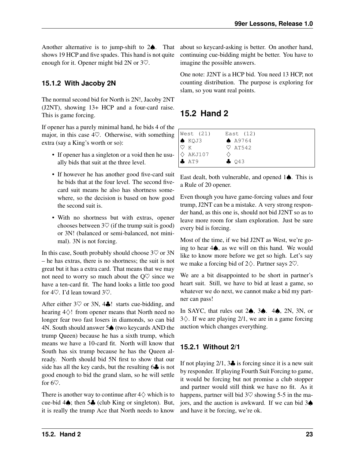Another alternative is to jump-shift to 2♠. That shows 19 HCP and five spades. This hand is not quite enough for it. Opener might bid 2N or 3♡.

#### <span id="page-26-0"></span>**15.1.2 With Jacoby 2N**

The normal second bid for North is 2N!, Jacoby 2NT (J2NT), showing 13+ HCP and a four-card raise. This is game forcing.

If opener has a purely minimal hand, he bids 4 of the major, in this case  $4\heartsuit$ . Otherwise, with something extra (say a King's worth or so):

- If opener has a singleton or a void then he usually bids that suit at the three level.
- If however he has another good five-card suit he bids that at the four level. The second fivecard suit means he also has shortness somewhere, so the decision is based on how good the second suit is.
- With no shortness but with extras, opener chooses between  $3\heartsuit$  (if the trump suit is good) or 3N! (balanced or semi-balanced, not minimal). 3N is not forcing.

In this case, South probably should choose  $3\heartsuit$  or 3N – he has extras, there is no shortness; the suit is not great but it has a extra card. That means that we may not need to worry so much about the  $Q\heartsuit$  since we have a ten-card fit. The hand looks a little too good for 4♡. I'd lean toward 3♡.

After either  $3\heartsuit$  or  $3N$ ,  $4\clubsuit$ ! starts cue-bidding, and hearing 4♢! from opener means that North need no longer fear two fast losers in diamonds, so can bid 4N. South should answer 5♠ (two keycards AND the trump Queen) because he has a sixth trump, which means we have a 10-card fit. North will know that South has six trump because he has the Queen already. North should bid 5N first to show that our side has all the key cards, but the resulting 6 $\clubsuit$  is not good enough to bid the grand slam, so he will settle for 6♡.

There is another way to continue after  $4\diamondsuit$  which is to cue-bid 4♠; then 5♣ (club King or singleton). But, it is really the trump Ace that North needs to know about so keycard-asking is better. On another hand, continuing cue-bidding might be better. You have to imagine the possible answers.

One note: J2NT is a HCP bid. You need 13 HCP, not counting distribution. The purpose is exploring for slam, so you want real points.

### <span id="page-26-1"></span>**15.2 Hand 2**

| West (21)              | East $(12)$        |
|------------------------|--------------------|
| $\bullet$ KQJ3         | ▲ A9764            |
| $ \heartsuit$ $\kappa$ | $\heartsuit$ AT542 |
| $\Diamond$ AKJ107      |                    |
| $\bullet$ AT9          | $\clubsuit$ 043    |

East dealt, both vulnerable, and opened 1♠. This is a Rule of 20 opener.

Even though you have game-forcing values and four trump, J2NT can be a mistake. A very strong responder hand, as this one is, should not bid J2NT so as to leave more room for slam exploration. Just be sure every bid is forcing.

Most of the time, if we bid J2NT as West, we're going to hear 4♠, as we will on this hand. We would like to know more before we get so high. Let's say we make a forcing bid of 2♢. Partner says 2♡.

We are a bit disappointed to be short in partner's heart suit. Still, we have to bid at least a game, so whatever we do next, we cannot make a bid my partner can pass!

In SAYC, that rules out 2♠, 3♠. 4♠, 2N, 3N, or  $3\diamondsuit$ . If we are playing 2/1, we are in a game forcing auction which changes everything.

#### <span id="page-26-2"></span>**15.2.1 Without 2/1**

If not playing  $2/1$ ,  $3\clubsuit$  is forcing since it is a new suit by responder. If playing Fourth Suit Forcing to game, it would be forcing but not promise a club stopper and partner would still think we have no fit. As it happens, partner will bid  $3\heartsuit$  showing 5-5 in the majors, and the auction is awkward. If we can bid 3♠ and have it be forcing, we're ok.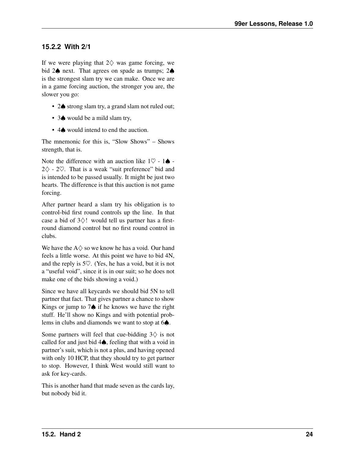#### <span id="page-27-0"></span>**15.2.2 With 2/1**

If we were playing that  $2\diamondsuit$  was game forcing, we bid 2**♦** next. That agrees on spade as trumps; 2**♦** is the strongest slam try we can make. Once we are in a game forcing auction, the stronger you are, the slower you go:

- 2♠ strong slam try, a grand slam not ruled out;
- 3♠ would be a mild slam try,
- 4 $\spadesuit$  would intend to end the auction.

The mnemonic for this is, "Slow Shows" – Shows strength, that is.

Note the difference with an auction like  $1\heartsuit - 1\spadesuit -$ 2♢ - 2♡. That is a weak "suit preference" bid and is intended to be passed usually. It might be just two hearts. The difference is that this auction is not game forcing.

After partner heard a slam try his obligation is to control-bid first round controls up the line. In that case a bid of  $3\diamondsuit!$  would tell us partner has a firstround diamond control but no first round control in clubs.

We have the  $A \Diamond$  so we know he has a void. Our hand feels a little worse. At this point we have to bid 4N, and the reply is 5♡. (Yes, he has a void, but it is not a "useful void", since it is in our suit; so he does not make one of the bids showing a void.)

Since we have all keycards we should bid 5N to tell partner that fact. That gives partner a chance to show Kings or jump to 7♠ if he knows we have the right stuff. He'll show no Kings and with potential problems in clubs and diamonds we want to stop at 6♠.

Some partners will feel that cue-bidding  $3\diamondsuit$  is not called for and just bid 4♠, feeling that with a void in partner's suit, which is not a plus, and having opened with only 10 HCP, that they should try to get partner to stop. However, I think West would still want to ask for key-cards.

This is another hand that made seven as the cards lay, but nobody bid it.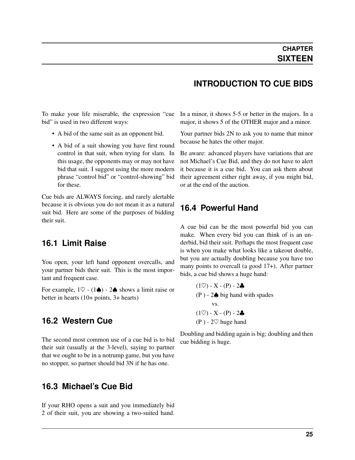#### <span id="page-28-6"></span><span id="page-28-0"></span>To make your life miserable, the expression "cue bid" is used in two different ways:

- A bid of the same suit as an opponent bid.
- A bid of a suit showing you have first round control in that suit, when trying for slam. In this usage, the opponents may or may not have bid that suit. I suggest using the more modern phrase "control bid" or "control-showing" bid for these.

Cue bids are ALWAYS forcing, and rarely alertable because it is obvious you do not mean it as a natural suit bid. Here are some of the purposes of bidding their suit.

#### <span id="page-28-1"></span>**16.1 Limit Raise**

You open, your left hand opponent overcalls, and your partner bids their suit. This is the most important and frequent case.

For example,  $1\heartsuit - (1\spadesuit) - 2\spadesuit$  shows a limit raise or better in hearts (10+ points, 3+ hearts)

#### <span id="page-28-2"></span>**16.2 Western Cue**

The second most common use of a cue bid is to bid their suit (usually at the 3-level), saying to partner that we ought to be in a notrump game, but you have no stopper, so partner should bid 3N if he has one.

#### <span id="page-28-3"></span>**16.3 Michael's Cue Bid**

If your RHO opens a suit and you immediately bid 2 of their suit, you are showing a two-suited hand.

#### **INTRODUCTION TO CUE BIDS**

In a minor, it shows 5-5 or better in the majors. In a major, it shows 5 of the OTHER major and a minor.

Your partner bids 2N to ask you to name that minor because he hates the other major.

Be aware: advanced players have variations that are not Michael's Cue Bid, and they do not have to alert it because it is a cue bid. You can ask them about their agreement either right away, if you might bid, or at the end of the auction.

#### <span id="page-28-4"></span>**16.4 Powerful Hand**

A cue bid can be the most powerful bid you can make. When every bid you can think of is an underbid, bid their suit. Perhaps the most frequent case is when you make what looks like a takeout double, but you are actually doubling because you have too many points to overcall (a good 17+). After partner bids, a cue bid shows a huge hand:

$$
(1\heartsuit) - X - (P) - 2\clubsuit
$$
  
(P) - 2\spadesuit big hand with spades  
vs.  

$$
(1\heartsuit) - X - (P) - 2\clubsuit
$$
  
(P) - 2\heartsuit huge hand

<span id="page-28-5"></span>Doubling and bidding again is big; doubling and then cue bidding is huge.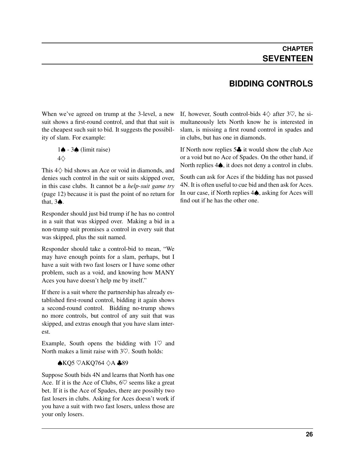### **BIDDING CONTROLS**

<span id="page-29-1"></span><span id="page-29-0"></span>When we've agreed on trump at the 3-level, a new suit shows a first-round control, and that that suit is the cheapest such suit to bid. It suggests the possibility of slam. For example:

$$
1\spadesuit - 3\spadesuit \text{ (limit raise)}
$$
  
4\diamondsuit

This 4♢ bid shows an Ace or void in diamonds, and denies such control in the suit or suits skipped over, in this case clubs. It cannot be a *[help-suit game try](#page-15-0)* (page 12) because it is past the point of no return for that, 3♠.

Responder should just bid trump if he has no control in a suit that was skipped over. Making a bid in a non-trump suit promises a control in every suit that was skipped, plus the suit named.

Responder should take a control-bid to mean, "We may have enough points for a slam, perhaps, but I have a suit with two fast losers or I have some other problem, such as a void, and knowing how MANY Aces you have doesn't help me by itself."

If there is a suit where the partnership has already established first-round control, bidding it again shows a second-round control. Bidding no-trump shows no more controls, but control of any suit that was skipped, and extras enough that you have slam interest.

Example, South opens the bidding with  $1\heartsuit$  and North makes a limit raise with 3♡. South holds:

#### $\triangle$ KO5  $\heartsuit$ AKO764  $\triangle$ A  $\triangle$ 89

Suppose South bids 4N and learns that North has one Ace. If it is the Ace of Clubs,  $6\heartsuit$  seems like a great bet. If it is the Ace of Spades, there are possibly two fast losers in clubs. Asking for Aces doesn't work if you have a suit with two fast losers, unless those are your only losers.

If, however, South control-bids  $4\diamondsuit$  after  $3\heartsuit$ , he simultaneously lets North know he is interested in slam, is missing a first round control in spades and in clubs, but has one in diamonds.

If North now replies 5♣ it would show the club Ace or a void but no Ace of Spades. On the other hand, if North replies 4**♦**, it does not deny a control in clubs.

South can ask for Aces if the bidding has not passed 4N. It is often useful to cue bid and then ask for Aces. In our case, if North replies 4♠, asking for Aces will find out if he has the other one.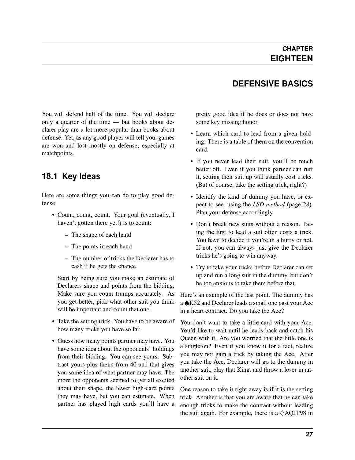#### **DEFENSIVE BASICS**

<span id="page-30-0"></span>You will defend half of the time. You will declare only a quarter of the time — but books about declarer play are a lot more popular than books about defense. Yet, as any good player will tell you, games are won and lost mostly on defense, especially at matchpoints.

#### <span id="page-30-1"></span>**18.1 Key Ideas**

Here are some things you can do to play good defense:

- Count, count, count. Your goal (eventually, I haven't gotten there yet!) is to count:
	- The shape of each hand
	- The points in each hand
	- The number of tricks the Declarer has to cash if he gets the chance

Start by being sure you make an estimate of Declarers shape and points from the bidding. Make sure you count trumps accurately. As you get better, pick what other suit you think will be important and count that one.

- Take the setting trick. You have to be aware of how many tricks you have so far.
- Guess how many points partner may have. You have some idea about the opponents' holdings from their bidding. You can see yours. Subtract yours plus theirs from 40 and that gives you some idea of what partner may have. The more the opponents seemed to get all excited about their shape, the fewer high-card points they may have, but you can estimate. When partner has played high cards you'll have a

pretty good idea if he does or does not have some key missing honor.

- Learn which card to lead from a given holding. There is a table of them on the convention card.
- If you never lead their suit, you'll be much better off. Even if you think partner can ruff it, setting their suit up will usually cost tricks. (But of course, take the setting trick, right?)
- Identify the kind of dummy you have, or expect to see, using the *[LSD method](#page-31-1)* (page 28). Plan your defense accordingly.
- Don't break new suits without a reason. Being the first to lead a suit often costs a trick. You have to decide if you're in a hurry or not. If not, you can always just give the Declarer tricks he's going to win anyway.
- Try to take your tricks before Declarer can set up and run a long suit in the dummy, but don't be too anxious to take them before that.

Here's an example of the last point. The dummy has a ♠K52 and Declarer leads a small one past your Ace in a heart contract. Do you take the Ace?

You don't want to take a little card with your Ace. You'd like to wait until he leads back and catch his Queen with it. Are you worried that the little one is a singleton? Even if you know it for a fact, realize you may not gain a trick by taking the Ace. After you take the Ace, Declarer will go to the dummy in another suit, play that King, and throw a loser in another suit on it.

One reason to take it right away is if it is the setting trick. Another is that you are aware that he can take enough tricks to make the contract without leading the suit again. For example, there is a  $\Diamond$ AQJT98 in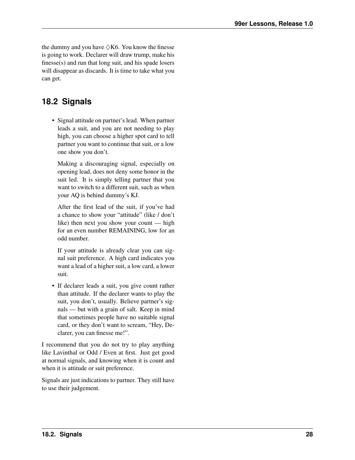<span id="page-31-2"></span>the dummy and you have  $\Diamond$ K6. You know the finesse is going to work. Declarer will draw trump, make his finesse(s) and run that long suit, and his spade losers will disappear as discards. It is time to take what you can get.

### <span id="page-31-0"></span>**18.2 Signals**

• Signal attitude on partner's lead. When partner leads a suit, and you are not needing to play high, you can choose a higher spot card to tell partner you want to continue that suit, or a low one show you don't.

Making a discouraging signal, especially on opening lead, does not deny some honor in the suit led. It is simply telling partner that you want to switch to a different suit, such as when your AQ is behind dummy's KJ.

After the first lead of the suit, if you've had a chance to show your "attitude" (like / don't like) then next you show your count — high for an even number REMAINING, low for an odd number.

If your attitude is already clear you can signal suit preference. A high card indicates you want a lead of a higher suit, a low card, a lower suit.

• If declarer leads a suit, you give count rather than attitude. If the declarer wants to play the suit, you don't, usually. Believe partner's signals — but with a grain of salt. Keep in mind that sometimes people have no suitable signal card, or they don't want to scream, "Hey, Declarer, you can finesse me!".

I recommend that you do not try to play anything like Lavinthal or Odd / Even at first. Just get good at normal signals, and knowing when it is count and when it is attitude or suit preference.

<span id="page-31-1"></span>Signals are just indications to partner. They still have to use their judgement.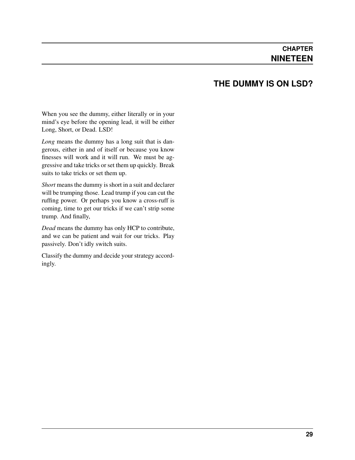#### **THE DUMMY IS ON LSD?**

<span id="page-32-0"></span>When you see the dummy, either literally or in your mind's eye before the opening lead, it will be either Long, Short, or Dead. LSD!

*Long* means the dummy has a long suit that is dangerous, either in and of itself or because you know finesses will work and it will run. We must be aggressive and take tricks or set them up quickly. Break suits to take tricks or set them up.

*Short* means the dummy is short in a suit and declarer will be trumping those. Lead trump if you can cut the ruffing power. Or perhaps you know a cross-ruff is coming, time to get our tricks if we can't strip some trump. And finally,

*Dead* means the dummy has only HCP to contribute, and we can be patient and wait for our tricks. Play passively. Don't idly switch suits.

Classify the dummy and decide your strategy accordingly.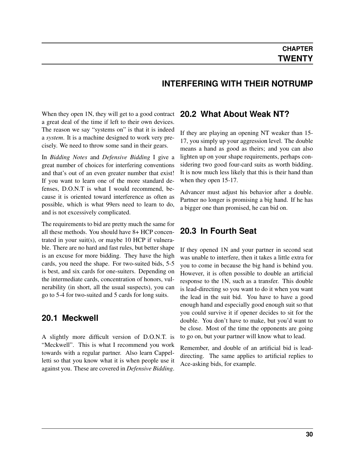#### **INTERFERING WITH THEIR NOTRUMP**

<span id="page-33-4"></span><span id="page-33-0"></span>When they open 1N, they will get to a good contract a great deal of the time if left to their own devices. The reason we say "systems on" is that it is indeed a *system*. It is a machine designed to work very precisely. We need to throw some sand in their gears.

In *Bidding Notes* and *Defensive Bidding* I give a great number of choices for interfering conventions and that's out of an even greater number that exist! If you want to learn one of the more standard defenses, D.O.N.T is what I would recommend, because it is oriented toward interference as often as possible, which is what 99ers need to learn to do, and is not excessively complicated.

The requirements to bid are pretty much the same for all these methods. You should have 8+ HCP concentrated in your suit(s), or maybe 10 HCP if vulnerable. There are no hard and fast rules, but better shape is an excuse for more bidding. They have the high cards, you need the shape. For two-suited bids, 5-5 is best, and six cards for one-suiters. Depending on the intermediate cards, concentration of honors, vulnerability (in short, all the usual suspects), you can go to 5-4 for two-suited and 5 cards for long suits.

#### <span id="page-33-1"></span>**20.1 Meckwell**

A slightly more difficult version of D.O.N.T. is "Meckwell". This is what I recommend you work towards with a regular partner. Also learn Cappelletti so that you know what it is when people use it against you. These are covered in *Defensive Bidding*.

#### <span id="page-33-2"></span>**20.2 What About Weak NT?**

If they are playing an opening NT weaker than 15- 17, you simply up your aggression level. The double means a hand as good as theirs; and you can also lighten up on your shape requirements, perhaps considering two good four-card suits as worth bidding. It is now much less likely that this is their hand than when they open 15-17.

Advancer must adjust his behavior after a double. Partner no longer is promising a big hand. If he has a bigger one than promised, he can bid on.

#### <span id="page-33-3"></span>**20.3 In Fourth Seat**

If they opened 1N and your partner in second seat was unable to interfere, then it takes a little extra for you to come in because the big hand is behind you. However, it is often possible to double an artificial response to the 1N, such as a transfer. This double is lead-directing so you want to do it when you want the lead in the suit bid. You have to have a good enough hand and especially good enough suit so that you could survive it if opener decides to sit for the double. You don't have to make, but you'd want to be close. Most of the time the opponents are going to go on, but your partner will know what to lead.

Remember, and double of an artificial bid is leaddirecting. The same applies to artificial replies to Ace-asking bids, for example.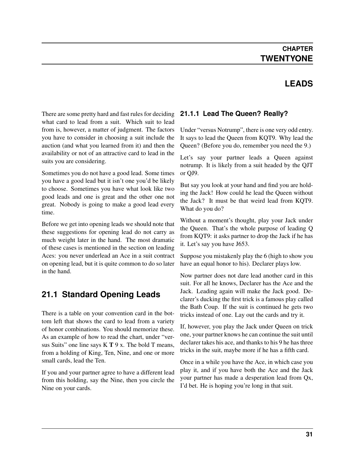#### **LEADS**

<span id="page-34-0"></span>There are some pretty hard and fast rules for deciding what card to lead from a suit. Which suit to lead from is, however, a matter of judgment. The factors you have to consider in choosing a suit include the auction (and what you learned from it) and then the availability or not of an attractive card to lead in the suits you are considering.

Sometimes you do not have a good lead. Some times you have a good lead but it isn't one you'd be likely to choose. Sometimes you have what look like two good leads and one is great and the other one not great. Nobody is going to make a good lead every time.

Before we get into opening leads we should note that these suggestions for opening lead do not carry as much weight later in the hand. The most dramatic of these cases is mentioned in the section on leading Aces: you never underlead an Ace in a suit contract on opening lead, but it is quite common to do so later in the hand.

### <span id="page-34-1"></span>**21.1 Standard Opening Leads**

There is a table on your convention card in the bottom left that shows the card to lead from a variety of honor combinations. You should memorize these. As an example of how to read the chart, under "versus Suits" one line says K T 9 x. The bold T means, from a holding of King, Ten, Nine, and one or more small cards, lead the Ten.

If you and your partner agree to have a different lead from this holding, say the Nine, then you circle the Nine on your cards.

#### <span id="page-34-2"></span>**21.1.1 Lead The Queen? Really?**

Under "versus Notrump", there is one very odd entry. It says to lead the Queen from KQT9. Why lead the Queen? (Before you do, remember you need the 9.)

Let's say your partner leads a Queen against notrump. It is likely from a suit headed by the QJT or QJ9.

But say you look at your hand and find you are holding the Jack! How could he lead the Queen without the Jack? It must be that weird lead from KQT9. What do you do?

Without a moment's thought, play your Jack under the Queen. That's the whole purpose of leading Q from KQT9: it asks partner to drop the Jack if he has it. Let's say you have J653.

Suppose you mistakenly play the 6 (high to show you have an equal honor to his). Declarer plays low.

Now partner does not dare lead another card in this suit. For all he knows, Declarer has the Ace and the Jack. Leading again will make the Jack good. Declarer's ducking the first trick is a famous play called the Bath Coup. If the suit is continued he gets two tricks instead of one. Lay out the cards and try it.

If, however, you play the Jack under Queen on trick one, your partner knows he can continue the suit until declarer takes his ace, and thanks to his 9 he has three tricks in the suit, maybe more if he has a fifth card.

Once in a while you have the Ace, in which case you play it, and if you have both the Ace and the Jack your partner has made a desperation lead from Qx, I'd bet. He is hoping you're long in that suit.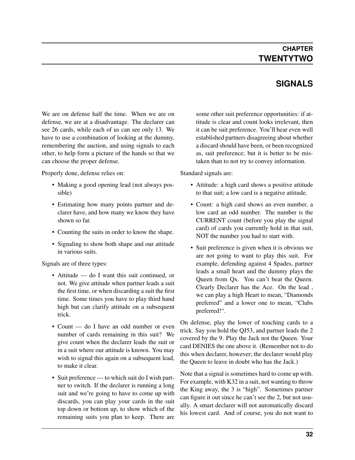#### **CHAPTER TWENTYTWO**

### **SIGNALS**

<span id="page-35-0"></span>We are on defense half the time. When we are on defense, we are at a disadvantage. The declarer can see 26 cards, while each of us can see only 13. We have to use a combination of looking at the dummy, remembering the auction, and using signals to each other, to help form a picture of the hands so that we can choose the proper defense.

Properly done, defense relies on:

- Making a good opening lead (not always possible)
- Estimating how many points partner and declarer have, and how many we know they have shown so far.
- Counting the suits in order to know the shape.
- Signaling to show both shape and our attitude in various suits.

Signals are of three types:

- Attitude do I want this suit continued, or not. We give attitude when partner leads a suit the first time, or when discarding a suit the first time. Some times you have to play third hand high but can clarify attitude on a subsequent trick.
- Count do I have an odd number or even number of cards remaining in this suit? We give count when the declarer leads the suit or in a suit where our attitude is known. You may wish to signal this again on a subsequent lead, to make it clear.
- Suit preference to which suit do I wish partner to switch. If the declarer is running a long suit and we're going to have to come up with discards, you can play your cards in the suit top down or bottom up, to show which of the remaining suits you plan to keep. There are

some other suit preference opportunities: if attitude is clear and count looks irrelevant, then it can be suit preference. You'll hear even well established partners disagreeing about whether a discard should have been, or been recognized as, suit preference; but it is better to be mistaken than to not try to convey information.

Standard signals are:

- Attitude: a high card shows a positive attitude to that suit; a low card is a negative attitude.
- Count: a high card shows an even number, a low card an odd number. The number is the CURRENT count (before you play the signal card) of cards you currently hold in that suit, NOT the number you had to start with.
- Suit preference is given when it is obvious we are not going to want to play this suit. For example, defending against 4 Spades, partner leads a small heart and the dummy plays the Queen from Qx. You can't beat the Queen. Clearly Declarer has the Ace. On the lead , we can play a high Heart to mean, "Diamonds preferred" and a lower one to mean, "Clubs preferred!".

On defense, play the lower of touching cards to a trick. Say you hold the QJ53, and partner leads the 2 covered by the 9. Play the Jack not the Queen. Your card DENIES the one above it. (Remember not to do this when declarer, however; the declarer would play the Queen to leave in doubt who has the Jack.)

Note that a signal is sometimes hard to come up with. For example, with K32 in a suit, not wanting to throw the King away, the 3 is "high". Sometimes partner can figure it out since he can't see the 2, but not usually. A smart declarer will not automatically discard his lowest card. And of course, you do not want to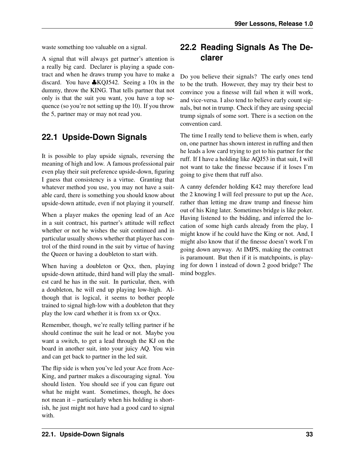waste something too valuable on a signal.

A signal that will always get partner's attention is a really big card. Declarer is playing a spade contract and when he draws trump you have to make a discard. You have ♣KQJ542. Seeing a 10x in the dummy, throw the KING. That tells partner that not only is that the suit you want, you have a top sequence (so you're not setting up the 10). If you throw the 5, partner may or may not read you.

#### <span id="page-36-0"></span>**22.1 Upside-Down Signals**

It is possible to play upside signals, reversing the meaning of high and low. A famous professional pair even play their suit preference upside-down, figuring I guess that consistency is a virtue. Granting that whatever method you use, you may not have a suitable card, there is something you should know about upside-down attitude, even if not playing it yourself.

When a player makes the opening lead of an Ace in a suit contract, his partner's attitude will reflect whether or not he wishes the suit continued and in particular usually shows whether that player has control of the third round in the suit by virtue of having the Queen or having a doubleton to start with.

When having a doubleton or Qxx, then, playing upside-down attitude, third hand will play the smallest card he has in the suit. In particular, then, with a doubleton, he will end up playing low-high. Although that is logical, it seems to bother people trained to signal high-low with a doubleton that they play the low card whether it is from xx or Qxx.

Remember, though, we're really telling partner if he should continue the suit he lead or not. Maybe you want a switch, to get a lead through the KJ on the board in another suit, into your juicy AQ. You win and can get back to partner in the led suit.

The flip side is when you've led your Ace from Ace-King, and partner makes a discouraging signal. You should listen. You should see if you can figure out what he might want. Sometimes, though, he does not mean it – particularly when his holding is shortish, he just might not have had a good card to signal with.

### <span id="page-36-1"></span>**22.2 Reading Signals As The Declarer**

Do you believe their signals? The early ones tend to be the truth. However, they may try their best to convince you a finesse will fail when it will work, and vice-versa. I also tend to believe early count signals, but not in trump. Check if they are using special trump signals of some sort. There is a section on the convention card.

The time I really tend to believe them is when, early on, one partner has shown interest in ruffing and then he leads a low card trying to get to his partner for the ruff. If I have a holding like AQJ53 in that suit, I will not want to take the finesse because if it loses I'm going to give them that ruff also.

A canny defender holding K42 may therefore lead the 2 knowing I will feel pressure to put up the Ace, rather than letting me draw trump and finesse him out of his King later. Sometimes bridge is like poker. Having listened to the bidding, and inferred the location of some high cards already from the play, I might know if he could have the King or not. And, I might also know that if the finesse doesn't work I'm going down anyway. At IMPS, making the contract is paramount. But then if it is matchpoints, is playing for down 1 instead of down 2 good bridge? The mind boggles.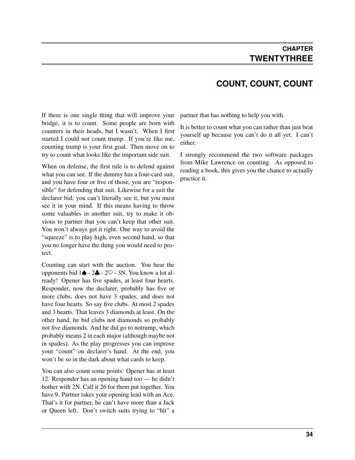#### **COUNT, COUNT, COUNT**

<span id="page-37-0"></span>If there is one single thing that will improve your bridge, it is to count. Some people are born with counters in their heads, but I wasn't. When I first started I could not count trump. If you're like me, counting trump is your first goal. Then move on to try to count what looks like the important side suit.

When on defense, the first rule is to defend against what you can see. If the dummy has a four-card suit, and you have four or five of those, you are "responsible" for defending that suit. Likewise for a suit the declarer bid; you can't literally see it, but you must see it in your mind. If this means having to throw some valuables in another suit, try to make it obvious to partner that you can't keep that other suit. You won't always get it right. One way to avoid the "squeeze" is to play high, even second hand, so that you no longer have the thing you would need to protect.

Counting can start with the auction. You hear the opponents bid  $1\spadesuit - 2\clubsuit - 2\heartsuit - 3N$ . You know a lot already! Opener has five spades, at least four hearts. Responder, now the declarer, probably has five or more clubs, does not have 3 spades, and does not have four hearts. So say five clubs. At most 2 spades and 3 hearts. That leaves 3 diamonds at least. On the other hand, he bid clubs not diamonds so probably not five diamonds. And he did go to notrump, which probably means 2 in each major (although maybe not in spades). As the play progresses you can improve your "count" on declarer's hand. At the end, you won't be so in the dark about what cards to keep.

You can also count some points: Opener has at least 12. Responder has an opening hand too — he didn't bother with 2N. Call it 26 for them put together. You have 9. Partner takes your opening lead with an Ace. That's it for partner, he can't have more than a Jack or Queen left. Don't switch suits trying to "hit" a partner that has nothing to help you with.

It is better to count what you can rather than just beat yourself up because you can't do it all yet. I can't either.

I strongly recommend the two software packages from Mike Lawrence on counting. As opposed to reading a book, this gives you the chance to actually practice it.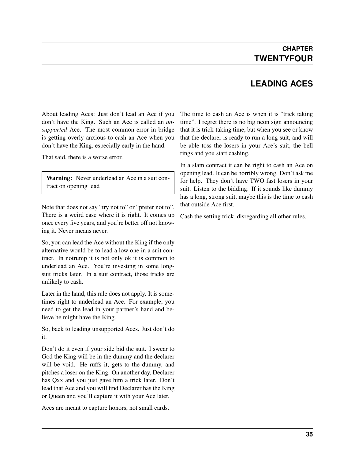### **LEADING ACES**

<span id="page-38-0"></span>About leading Aces: Just don't lead an Ace if you don't have the King. Such an Ace is called an *unsupported* Ace. The most common error in bridge is getting overly anxious to cash an Ace when you don't have the King, especially early in the hand.

That said, there is a worse error.

Warning: Never underlead an Ace in a suit contract on opening lead

Note that does not say "try not to" or "prefer not to". There is a weird case where it is right. It comes up once every five years, and you're better off not knowing it. Never means never.

So, you can lead the Ace without the King if the only alternative would be to lead a low one in a suit contract. In notrump it is not only ok it is common to underlead an Ace. You're investing in some longsuit tricks later. In a suit contract, those tricks are unlikely to cash.

Later in the hand, this rule does not apply. It is sometimes right to underlead an Ace. For example, you need to get the lead in your partner's hand and believe he might have the King.

So, back to leading unsupported Aces. Just don't do it.

Don't do it even if your side bid the suit. I swear to God the King will be in the dummy and the declarer will be void. He ruffs it, gets to the dummy, and pitches a loser on the King. On another day, Declarer has Qxx and you just gave him a trick later. Don't lead that Ace and you will find Declarer has the King or Queen and you'll capture it with your Ace later.

Aces are meant to capture honors, not small cards.

The time to cash an Ace is when it is "trick taking time". I regret there is no big neon sign announcing that it is trick-taking time, but when you see or know that the declarer is ready to run a long suit, and will be able toss the losers in your Ace's suit, the bell rings and you start cashing.

In a slam contract it can be right to cash an Ace on opening lead. It can be horribly wrong. Don't ask me for help. They don't have TWO fast losers in your suit. Listen to the bidding. If it sounds like dummy has a long, strong suit, maybe this is the time to cash that outside Ace first.

Cash the setting trick, disregarding all other rules.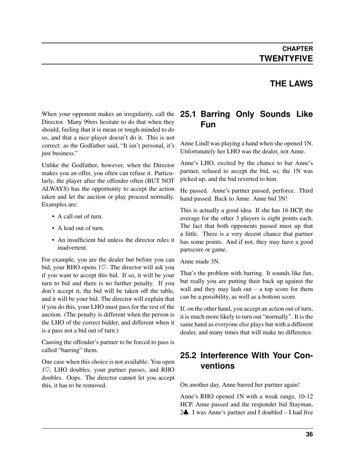#### **THE LAWS**

<span id="page-39-0"></span>When your opponent makes an irregularity, call the Director. Many 99ers hesitate to do that when they should, feeling that it is mean or tough-minded to do so, and that a nice player doesn't do it. This is not correct: as the Godfather said, "It isn't personal, it's just business."

Unlike the Godfather, however, when the Director makes you an offer, you often can refuse it. Particularly, the player after the offender often (BUT NOT ALWAYS) has the opportunity to accept the action taken and let the auction or play proceed normally. Examples are:

- A call out of turn.
- A lead out of turn.
- An insufficient bid unless the director rules it inadvertent.

For example, you are the dealer but before you can bid, your RHO opens 1♡. The director will ask you if you want to accept this bid. If so, it will be your turn to bid and there is no further penalty. If you don't accept it, the bid will be taken off the table, and it will be your bid. The director will explain that if you do this, your LHO must pass for the rest of the auction. (The penalty is different when the person is the LHO of the correct bidder, and different when it is a pass not a bid out of turn.)

Causing the offender's partner to be forced to pass is called "barring" them.

One case when this choice is not available: You open 1♡, LHO doubles, your partner passes, and RHO doubles. Oops. The director cannot let you accept this, it has to be removed.

#### <span id="page-39-1"></span>**25.1 Barring Only Sounds Like Fun**

Anne Lindl was playing a hand when she opened 1N. Unfortunately her LHO was the dealer, not Anne.

Anne's LHO, excited by the chance to bar Anne's partner, refused to accept the bid, so, the 1N was picked up, and the bid reverted to him.

He passed. Anne's partner passed, perforce. Third hand passed. Back to Anne. Anne bid 3N!

This is actually a good idea. If she has 16 HCP, the average for the other 3 players is eight points each. The fact that both opponents passed must up that a little. There is a very decent chance that partner has some points. And if not, they may have a good partscore or game.

Anne made 3N.

That's the problem with barring. It sounds like fun, but really you are putting their back up against the wall and they may lash out  $-$  a top score for them can be a possibility, as well as a bottom score.

If, on the other hand, you accept an action out of turn, it is much more likely to turn out "normally". It is the same hand as everyone else plays but with a different dealer, and many times that will make no difference.

#### <span id="page-39-2"></span>**25.2 Interference With Your Conventions**

On another day, Anne barred her partner again!

Anne's RHO opened 1N with a weak range, 10-12 HCP. Anne passed and the responder bid Stayman, 2 $\clubsuit$ . I was Anne's partner and I doubled – I had five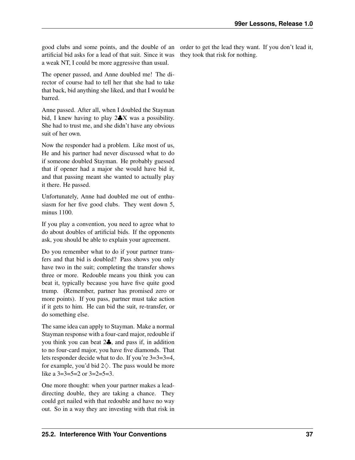good clubs and some points, and the double of an order to get the lead they want. If you don't lead it, artificial bid asks for a lead of that suit. Since it was a weak NT, I could be more aggressive than usual.

The opener passed, and Anne doubled me! The director of course had to tell her that she had to take that back, bid anything she liked, and that I would be barred.

Anne passed. After all, when I doubled the Stayman bid, I knew having to play 2♣X was a possibility. She had to trust me, and she didn't have any obvious suit of her own.

Now the responder had a problem. Like most of us, He and his partner had never discussed what to do if someone doubled Stayman. He probably guessed that if opener had a major she would have bid it, and that passing meant she wanted to actually play it there. He passed.

Unfortunately, Anne had doubled me out of enthusiasm for her five good clubs. They went down 5, minus 1100.

If you play a convention, you need to agree what to do about doubles of artificial bids. If the opponents ask, you should be able to explain your agreement.

Do you remember what to do if your partner transfers and that bid is doubled? Pass shows you only have two in the suit; completing the transfer shows three or more. Redouble means you think you can beat it, typically because you have five quite good trump. (Remember, partner has promised zero or more points). If you pass, partner must take action if it gets to him. He can bid the suit, re-transfer, or do something else.

The same idea can apply to Stayman. Make a normal Stayman response with a four-card major, redouble if you think you can beat 2♣, and pass if, in addition to no four-card major, you have five diamonds. That lets responder decide what to do. If you're 3=3=3=4, for example, you'd bid  $2\diamondsuit$ . The pass would be more like a  $3=3=5=2$  or  $3=2=5=3$ .

One more thought: when your partner makes a leaddirecting double, they are taking a chance. They could get nailed with that redouble and have no way out. So in a way they are investing with that risk in

they took that risk for nothing.